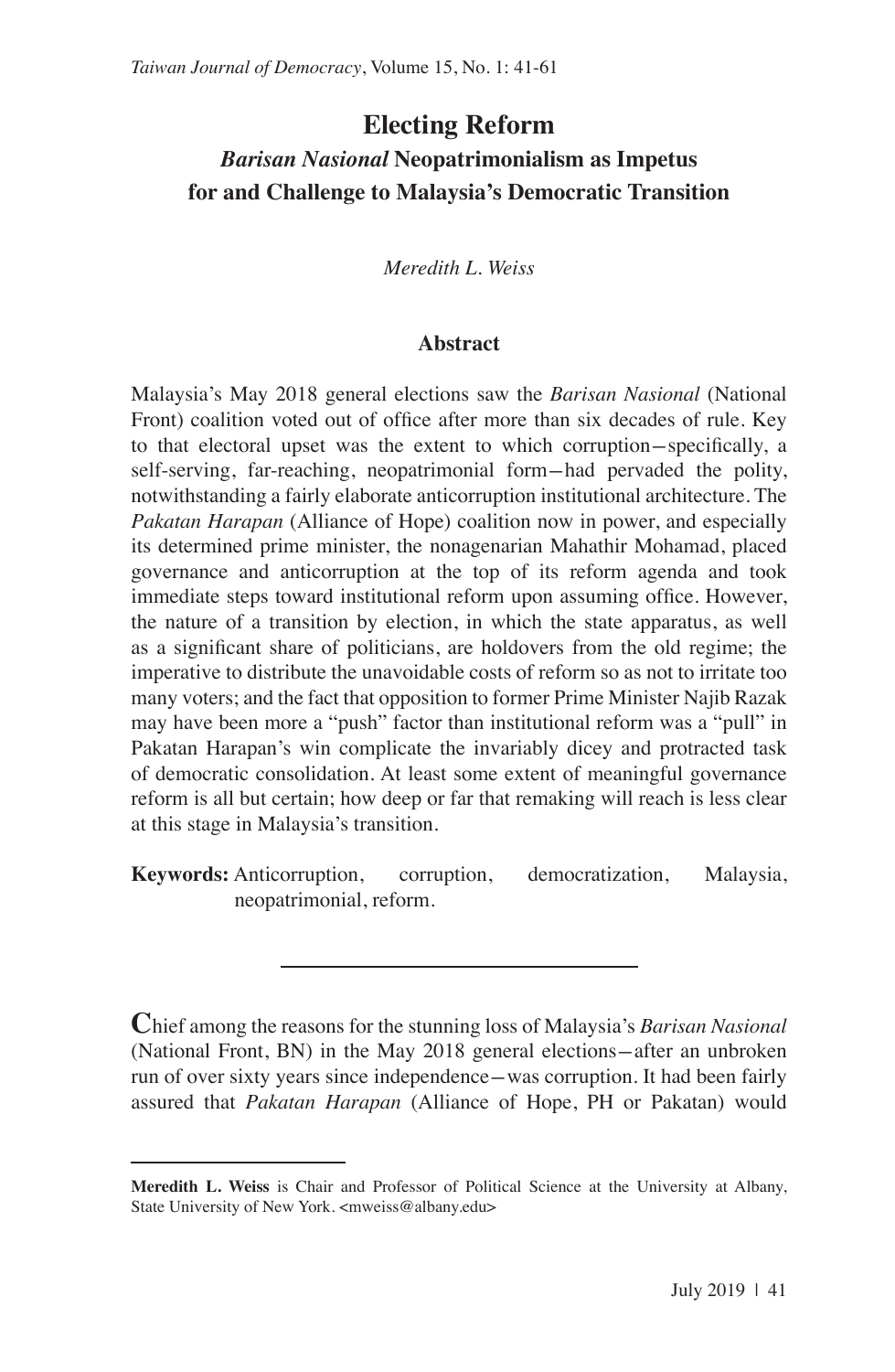# **Electing Reform** *Barisan Nasional* **Neopatrimonialism as Impetus for and Challenge to Malaysia's Democratic Transition**

*Meredith L. Weiss*

## **Abstract**

Malaysia's May 2018 general elections saw the *Barisan Nasional* (National Front) coalition voted out of office after more than six decades of rule. Key to that electoral upset was the extent to which corruption-specifically, a self-serving, far-reaching, neopatrimonial form-had pervaded the polity, notwithstanding a fairly elaborate anticorruption institutional architecture. The *Pakatan Harapan* (Alliance of Hope) coalition now in power, and especially its determined prime minister, the nonagenarian Mahathir Mohamad, placed governance and anticorruption at the top of its reform agenda and took immediate steps toward institutional reform upon assuming office. However, the nature of a transition by election, in which the state apparatus, as well as a significant share of politicians, are holdovers from the old regime; the imperative to distribute the unavoidable costs of reform so as not to irritate too many voters; and the fact that opposition to former Prime Minister Najib Razak may have been more a "push" factor than institutional reform was a "pull" in Pakatan Harapan's win complicate the invariably dicey and protracted task of democratic consolidation. At least some extent of meaningful governance reform is all but certain; how deep or far that remaking will reach is less clear at this stage in Malaysia's transition.

**Keywords:** Anticorruption, corruption, democratization, Malaysia, neopatrimonial, reform.

**C**hief among the reasons for the stunning loss of Malaysia's *Barisan Nasional* (National Front, BN) in the May 2018 general elections—after an unbroken run of over sixty years since independence-was corruption. It had been fairly assured that *Pakatan Harapan* (Alliance of Hope, PH or Pakatan) would

**Meredith L. Weiss** is Chair and Professor of Political Science at the University at Albany, State University of New York. <mweiss@albany.edu>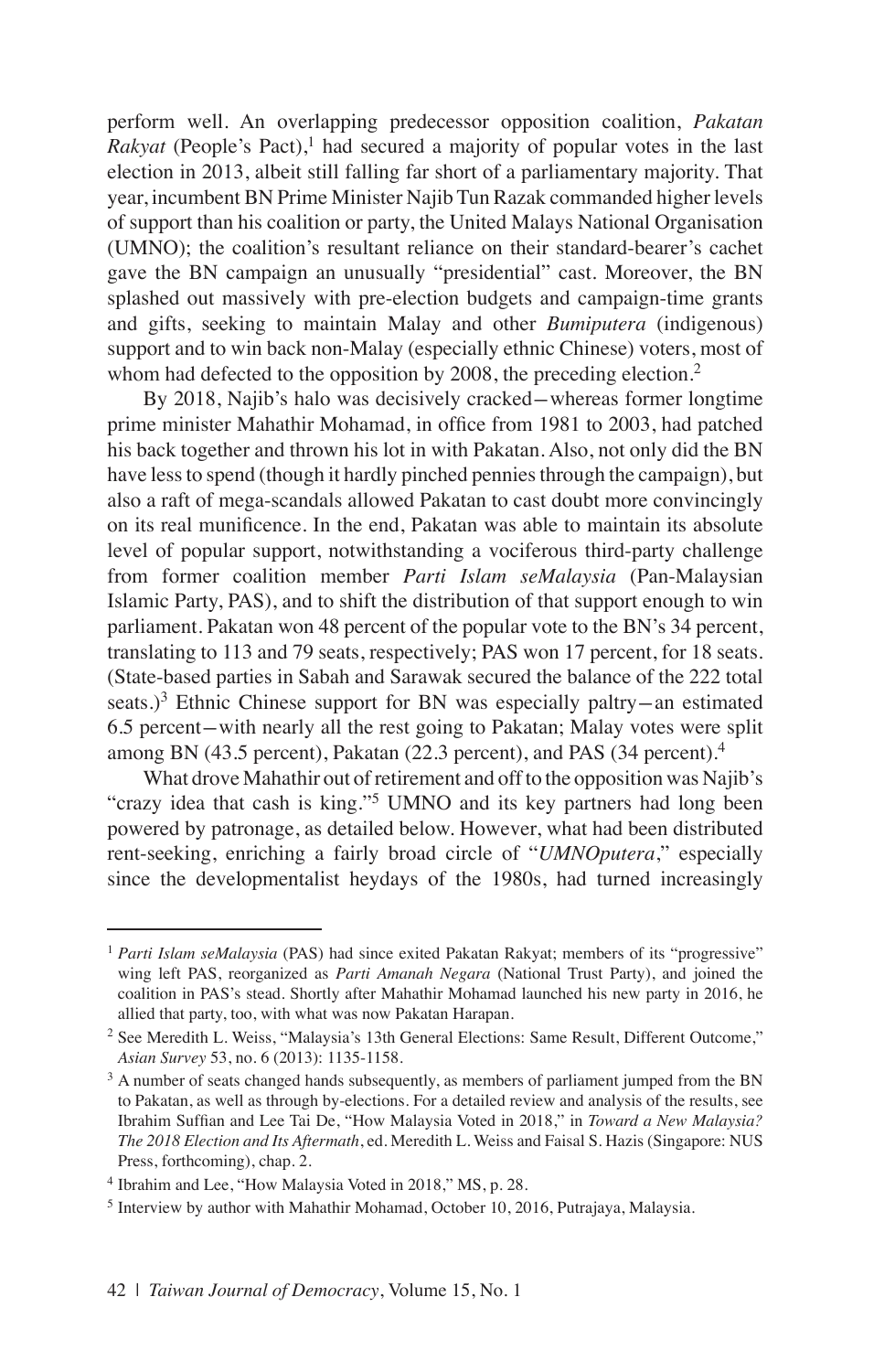perform well. An overlapping predecessor opposition coalition, *Pakatan Rakyat* (People's Pact),<sup>1</sup> had secured a majority of popular votes in the last election in 2013, albeit still falling far short of a parliamentary majority. That year, incumbent BN Prime Minister Najib Tun Razak commanded higher levels of support than his coalition or party, the United Malays National Organisation (UMNO); the coalition's resultant reliance on their standard-bearer's cachet gave the BN campaign an unusually "presidential" cast. Moreover, the BN splashed out massively with pre-election budgets and campaign-time grants and gifts, seeking to maintain Malay and other *Bumiputera* (indigenous) support and to win back non-Malay (especially ethnic Chinese) voters, most of whom had defected to the opposition by 2008, the preceding election.<sup>2</sup>

By 2018, Najib's halo was decisively cracked-whereas former longtime prime minister Mahathir Mohamad, in office from 1981 to 2003, had patched his back together and thrown his lot in with Pakatan. Also, not only did the BN have less to spend (though it hardly pinched pennies through the campaign), but also a raft of mega-scandals allowed Pakatan to cast doubt more convincingly on its real munificence. In the end, Pakatan was able to maintain its absolute level of popular support, notwithstanding a vociferous third-party challenge from former coalition member *Parti Islam seMalaysia* (Pan-Malaysian Islamic Party, PAS), and to shift the distribution of that support enough to win parliament. Pakatan won 48 percent of the popular vote to the BN's 34 percent, translating to 113 and 79 seats, respectively; PAS won 17 percent, for 18 seats. (State-based parties in Sabah and Sarawak secured the balance of the 222 total seats.)<sup>3</sup> Ethnic Chinese support for BN was especially paltry-an estimated 6.5 percent-with nearly all the rest going to Pakatan; Malay votes were split among BN (43.5 percent), Pakatan (22.3 percent), and PAS (34 percent).<sup>4</sup>

What drove Mahathir out of retirement and off to the opposition was Najib's "crazy idea that cash is king."<sup>5</sup> UMNO and its key partners had long been powered by patronage, as detailed below. However, what had been distributed rent-seeking, enriching a fairly broad circle of "*UMNOputera*," especially since the developmentalist heydays of the 1980s, had turned increasingly

<sup>&</sup>lt;sup>1</sup> *Parti Islam seMalaysia* (PAS) had since exited Pakatan Rakyat; members of its "progressive" wing left PAS, reorganized as *Parti Amanah Negara* (National Trust Party), and joined the coalition in PAS's stead. Shortly after Mahathir Mohamad launched his new party in 2016, he allied that party, too, with what was now Pakatan Harapan.

<sup>2</sup> See Meredith L. Weiss, "Malaysia's 13th General Elections: Same Result, Different Outcome," *Asian Survey* 53, no. 6 (2013): 1135-1158.

<sup>&</sup>lt;sup>3</sup> A number of seats changed hands subsequently, as members of parliament jumped from the BN to Pakatan, as well as through by-elections. For a detailed review and analysis of the results, see Ibrahim Suffian and Lee Tai De, "How Malaysia Voted in 2018," in *Toward a New Malaysia? The 2018 Election and Its Aftermath*, ed. Meredith L. Weiss and Faisal S. Hazis (Singapore: NUS Press, forthcoming), chap. 2.

<sup>4</sup> Ibrahim and Lee, "How Malaysia Voted in 2018," MS, p. 28.

<sup>5</sup> Interview by author with Mahathir Mohamad, October 10, 2016, Putrajaya, Malaysia.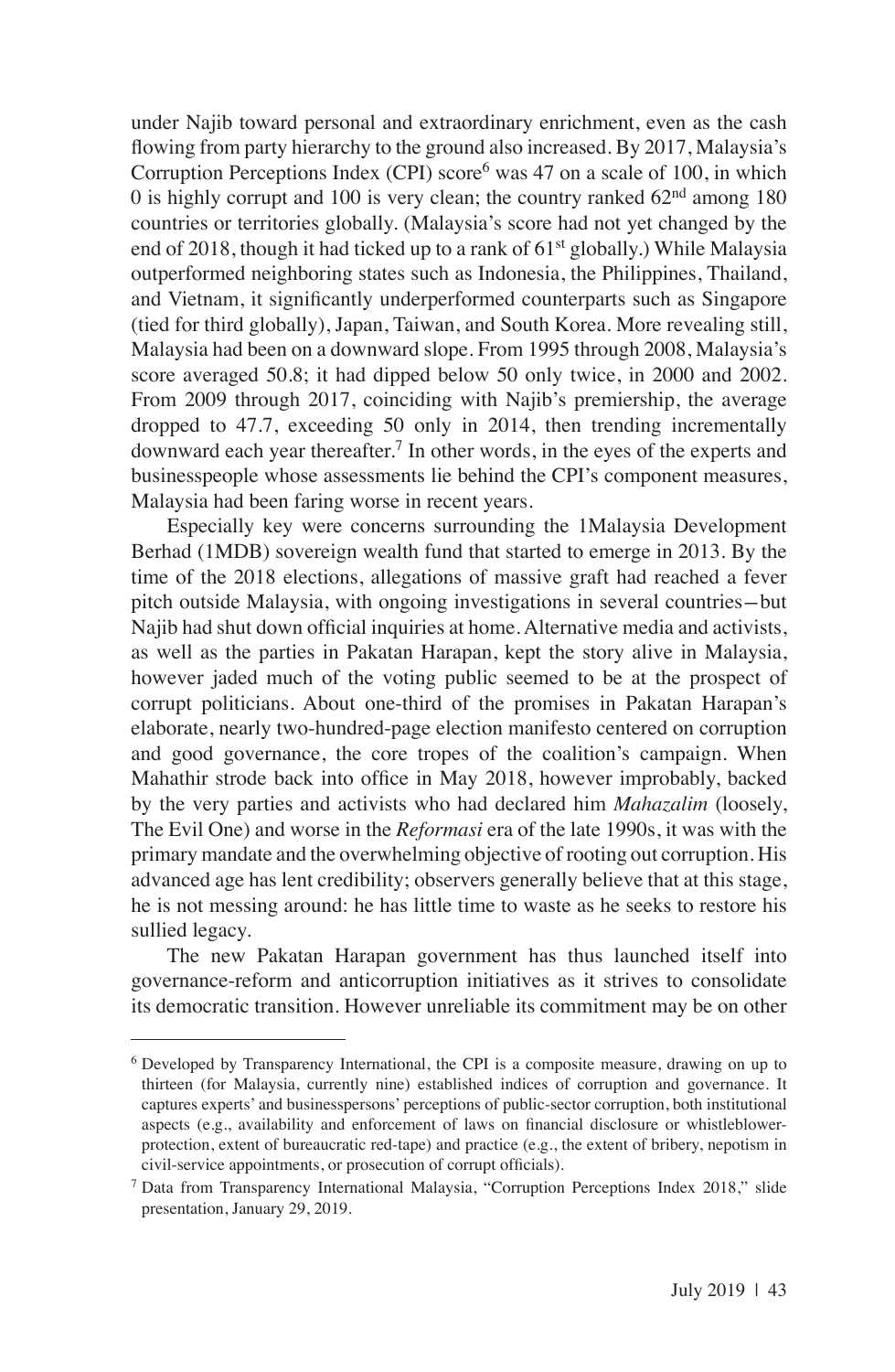under Najib toward personal and extraordinary enrichment, even as the cash flowing from party hierarchy to the ground also increased. By 2017, Malaysia's Corruption Perceptions Index (CPI) score<sup>6</sup> was 47 on a scale of 100, in which 0 is highly corrupt and 100 is very clean; the country ranked  $62<sup>nd</sup>$  among 180 countries or territories globally. (Malaysia's score had not yet changed by the end of 2018, though it had ticked up to a rank of  $61<sup>st</sup>$  globally.) While Malaysia outperformed neighboring states such as Indonesia, the Philippines, Thailand, and Vietnam, it significantly underperformed counterparts such as Singapore (tied for third globally), Japan, Taiwan, and South Korea. More revealing still, Malaysia had been on a downward slope. From 1995 through 2008, Malaysia's score averaged 50.8; it had dipped below 50 only twice, in 2000 and 2002. From 2009 through 2017, coinciding with Najib's premiership, the average dropped to 47.7, exceeding 50 only in 2014, then trending incrementally downward each year thereafter.<sup>7</sup> In other words, in the eyes of the experts and businesspeople whose assessments lie behind the CPI's component measures, Malaysia had been faring worse in recent years.

Especially key were concerns surrounding the 1Malaysia Development Berhad (1MDB) sovereign wealth fund that started to emerge in 2013. By the time of the 2018 elections, allegations of massive graft had reached a fever pitch outside Malaysia, with ongoing investigations in several countries-but Najib had shut down official inquiries at home. Alternative media and activists, as well as the parties in Pakatan Harapan, kept the story alive in Malaysia, however jaded much of the voting public seemed to be at the prospect of corrupt politicians. About one-third of the promises in Pakatan Harapan's elaborate, nearly two-hundred-page election manifesto centered on corruption and good governance, the core tropes of the coalition's campaign. When Mahathir strode back into office in May 2018, however improbably, backed by the very parties and activists who had declared him *Mahazalim* (loosely, The Evil One) and worse in the *Reformasi* era of the late 1990s, it was with the primary mandate and the overwhelming objective of rooting out corruption. His advanced age has lent credibility; observers generally believe that at this stage, he is not messing around: he has little time to waste as he seeks to restore his sullied legacy.

The new Pakatan Harapan government has thus launched itself into governance-reform and anticorruption initiatives as it strives to consolidate its democratic transition. However unreliable its commitment may be on other

<sup>6</sup> Developed by Transparency International, the CPI is a composite measure, drawing on up to thirteen (for Malaysia, currently nine) established indices of corruption and governance. It captures experts' and businesspersons' perceptions of public-sector corruption, both institutional aspects (e.g., availability and enforcement of laws on financial disclosure or whistleblowerprotection, extent of bureaucratic red-tape) and practice (e.g., the extent of bribery, nepotism in civil-service appointments, or prosecution of corrupt officials).

<sup>7</sup> Data from Transparency International Malaysia, "Corruption Perceptions Index 2018," slide presentation, January 29, 2019.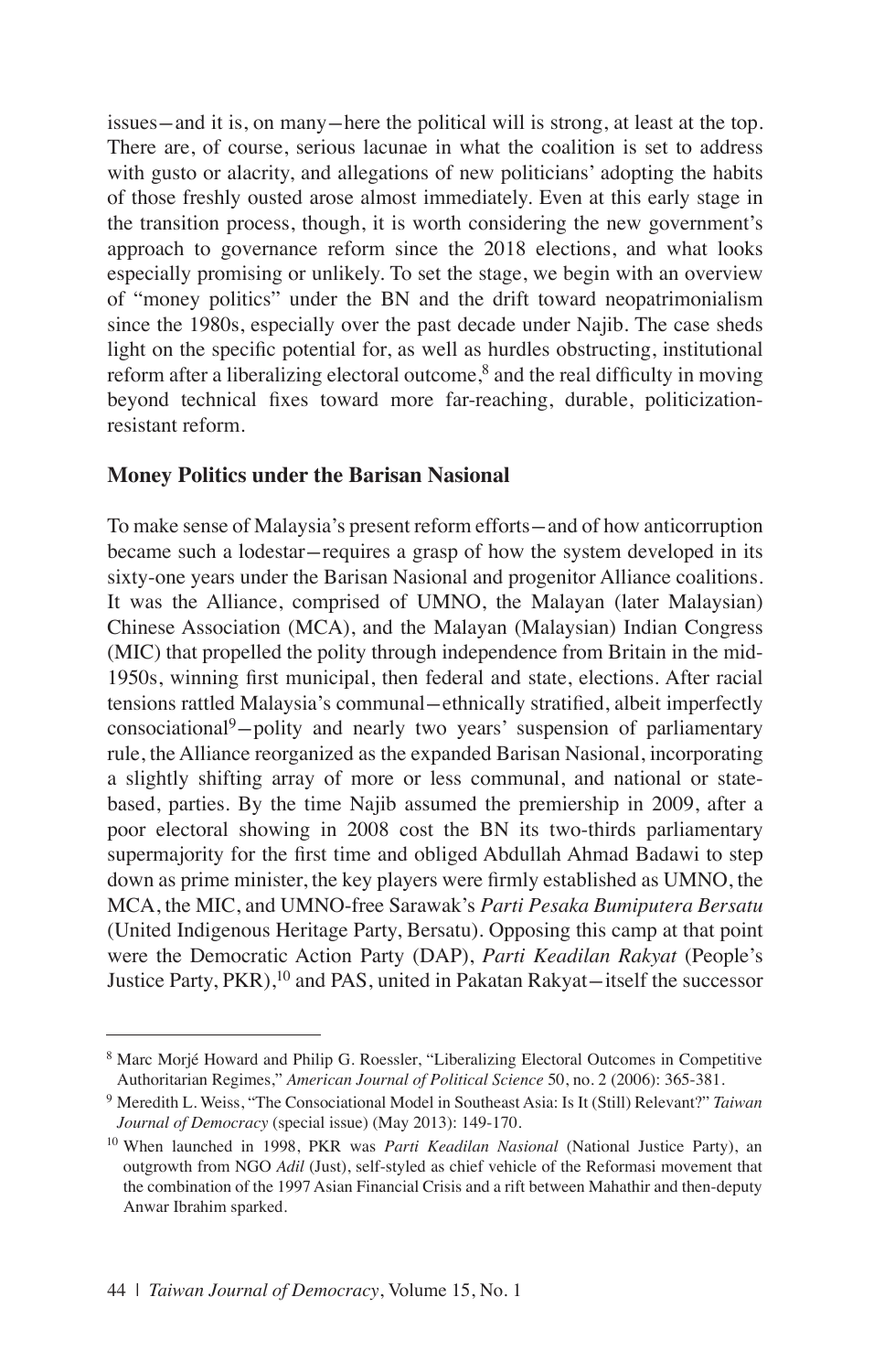issues-and it is, on many-here the political will is strong, at least at the top. There are, of course, serious lacunae in what the coalition is set to address with gusto or alacrity, and allegations of new politicians' adopting the habits of those freshly ousted arose almost immediately. Even at this early stage in the transition process, though, it is worth considering the new government's approach to governance reform since the 2018 elections, and what looks especially promising or unlikely. To set the stage, we begin with an overview of "money politics" under the BN and the drift toward neopatrimonialism since the 1980s, especially over the past decade under Najib. The case sheds light on the specific potential for, as well as hurdles obstructing, institutional reform after a liberalizing electoral outcome, $\delta$  and the real difficulty in moving beyond technical fixes toward more far-reaching, durable, politicizationresistant reform.

## **Money Politics under the Barisan Nasional**

To make sense of Malaysia's present reform efforts-and of how anticorruption became such a lodestar-requires a grasp of how the system developed in its sixty-one years under the Barisan Nasional and progenitor Alliance coalitions. It was the Alliance, comprised of UMNO, the Malayan (later Malaysian) Chinese Association (MCA), and the Malayan (Malaysian) Indian Congress (MIC) that propelled the polity through independence from Britain in the mid-1950s, winning first municipal, then federal and state, elections. After racial tensions rattled Malaysia's communal-ethnically stratified, albeit imperfectly consociational<sup>9</sup>-polity and nearly two years' suspension of parliamentary rule, the Alliance reorganized as the expanded Barisan Nasional, incorporating a slightly shifting array of more or less communal, and national or statebased, parties. By the time Najib assumed the premiership in 2009, after a poor electoral showing in 2008 cost the BN its two-thirds parliamentary supermajority for the first time and obliged Abdullah Ahmad Badawi to step down as prime minister, the key players were firmly established as UMNO, the MCA, the MIC, and UMNO-free Sarawak's *Parti Pesaka Bumiputera Bersatu*  (United Indigenous Heritage Party, Bersatu). Opposing this camp at that point were the Democratic Action Party (DAP), *Parti Keadilan Rakyat* (People's Justice Party, PKR),<sup>10</sup> and PAS, united in Pakatan Rakyat-itself the successor

<sup>8</sup> Marc Morjé Howard and Philip G. Roessler, "Liberalizing Electoral Outcomes in Competitive Authoritarian Regimes," *American Journal of Political Science* 50, no. 2 (2006): 365-381.

<sup>9</sup> Meredith L. Weiss, "The Consociational Model in Southeast Asia: Is It (Still) Relevant?" *Taiwan Journal of Democracy* (special issue) (May 2013): 149-170.

<sup>10</sup> When launched in 1998, PKR was *Parti Keadilan Nasional* (National Justice Party), an outgrowth from NGO *Adil* (Just), self-styled as chief vehicle of the Reformasi movement that the combination of the 1997 Asian Financial Crisis and a rift between Mahathir and then-deputy Anwar Ibrahim sparked.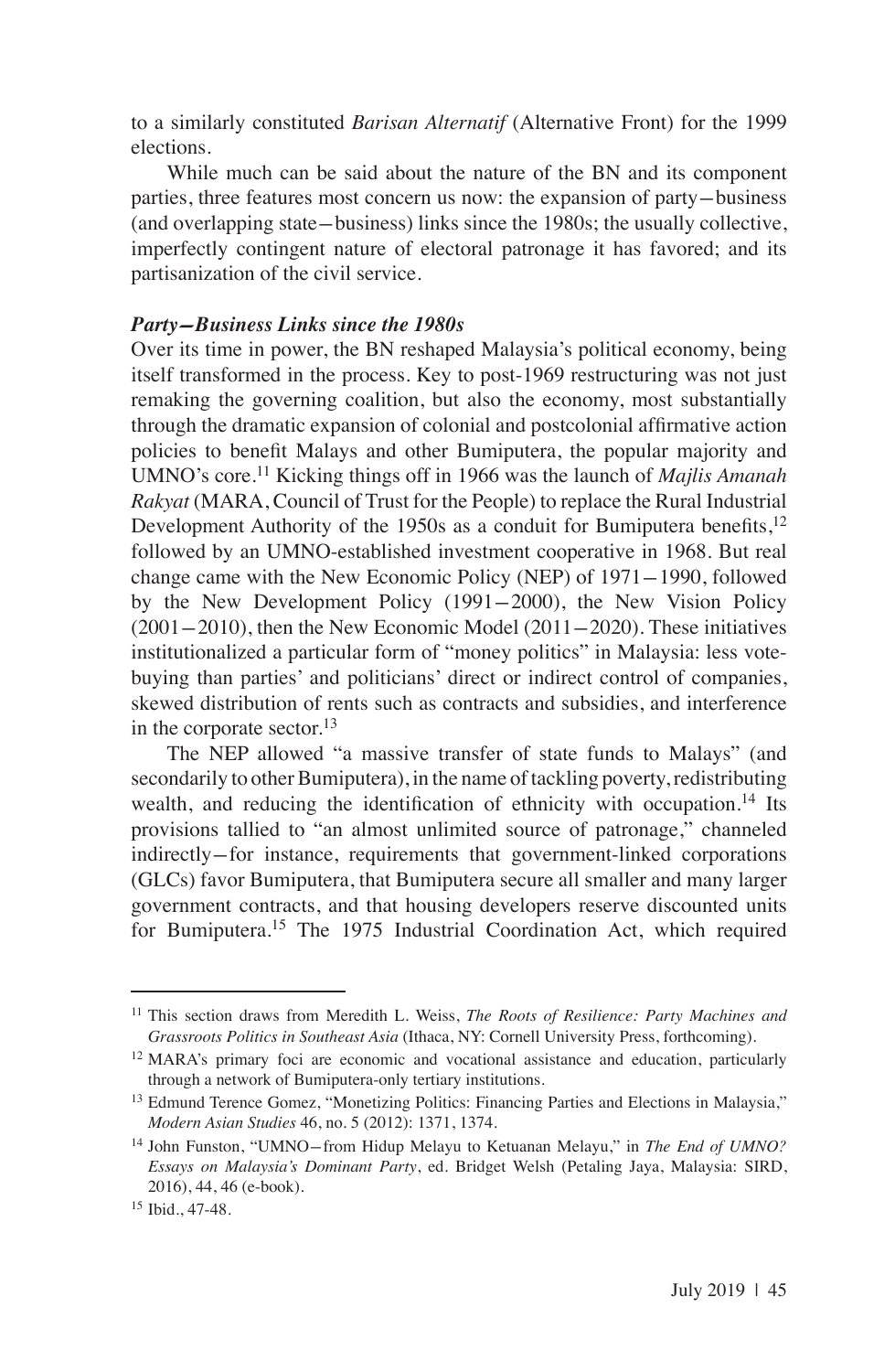to a similarly constituted *Barisan Alternatif* (Alternative Front) for the 1999 elections.

While much can be said about the nature of the BN and its component parties, three features most concern us now: the expansion of party-business (and overlapping state-business) links since the 1980s; the usually collective, imperfectly contingent nature of electoral patronage it has favored; and its partisanization of the civil service.

#### *Party-Business Links since the 1980s*

Over its time in power, the BN reshaped Malaysia's political economy, being itself transformed in the process. Key to post-1969 restructuring was not just remaking the governing coalition, but also the economy, most substantially through the dramatic expansion of colonial and postcolonial affirmative action policies to benefit Malays and other Bumiputera, the popular majority and UMNO's core.<sup>11</sup> Kicking things off in 1966 was the launch of *Majlis Amanah Rakyat* (MARA, Council of Trust for the People) to replace the Rural Industrial Development Authority of the 1950s as a conduit for Bumiputera benefits.<sup>12</sup> followed by an UMNO-established investment cooperative in 1968. But real change came with the New Economic Policy (NEP) of 1971-1990, followed by the New Development Policy (1991-2000), the New Vision Policy  $(2001-2010)$ , then the New Economic Model  $(2011-2020)$ . These initiatives institutionalized a particular form of "money politics" in Malaysia: less votebuying than parties' and politicians' direct or indirect control of companies, skewed distribution of rents such as contracts and subsidies, and interference in the corporate sector. $^{13}$ 

The NEP allowed "a massive transfer of state funds to Malays" (and secondarily to other Bumiputera), in the name of tackling poverty, redistributing wealth, and reducing the identification of ethnicity with occupation.<sup>14</sup> Its provisions tallied to "an almost unlimited source of patronage," channeled indirectly-for instance, requirements that government-linked corporations (GLCs) favor Bumiputera, that Bumiputera secure all smaller and many larger government contracts, and that housing developers reserve discounted units for Bumiputera.<sup>15</sup> The 1975 Industrial Coordination Act, which required

<sup>11</sup> This section draws from Meredith L. Weiss, *The Roots of Resilience: Party Machines and Grassroots Politics in Southeast Asia* (Ithaca, NY: Cornell University Press, forthcoming).

<sup>12</sup> MARA's primary foci are economic and vocational assistance and education, particularly through a network of Bumiputera-only tertiary institutions.

<sup>&</sup>lt;sup>13</sup> Edmund Terence Gomez, "Monetizing Politics: Financing Parties and Elections in Malaysia," *Modern Asian Studies* 46, no. 5 (2012): 1371, 1374.

<sup>14</sup> John Funston, "UMNO-from Hidup Melayu to Ketuanan Melayu," in *The End of UMNO? Essays on Malaysia's Dominant Party*, ed. Bridget Welsh (Petaling Jaya, Malaysia: SIRD, 2016), 44, 46 (e-book).

<sup>15</sup> Ibid., 47-48.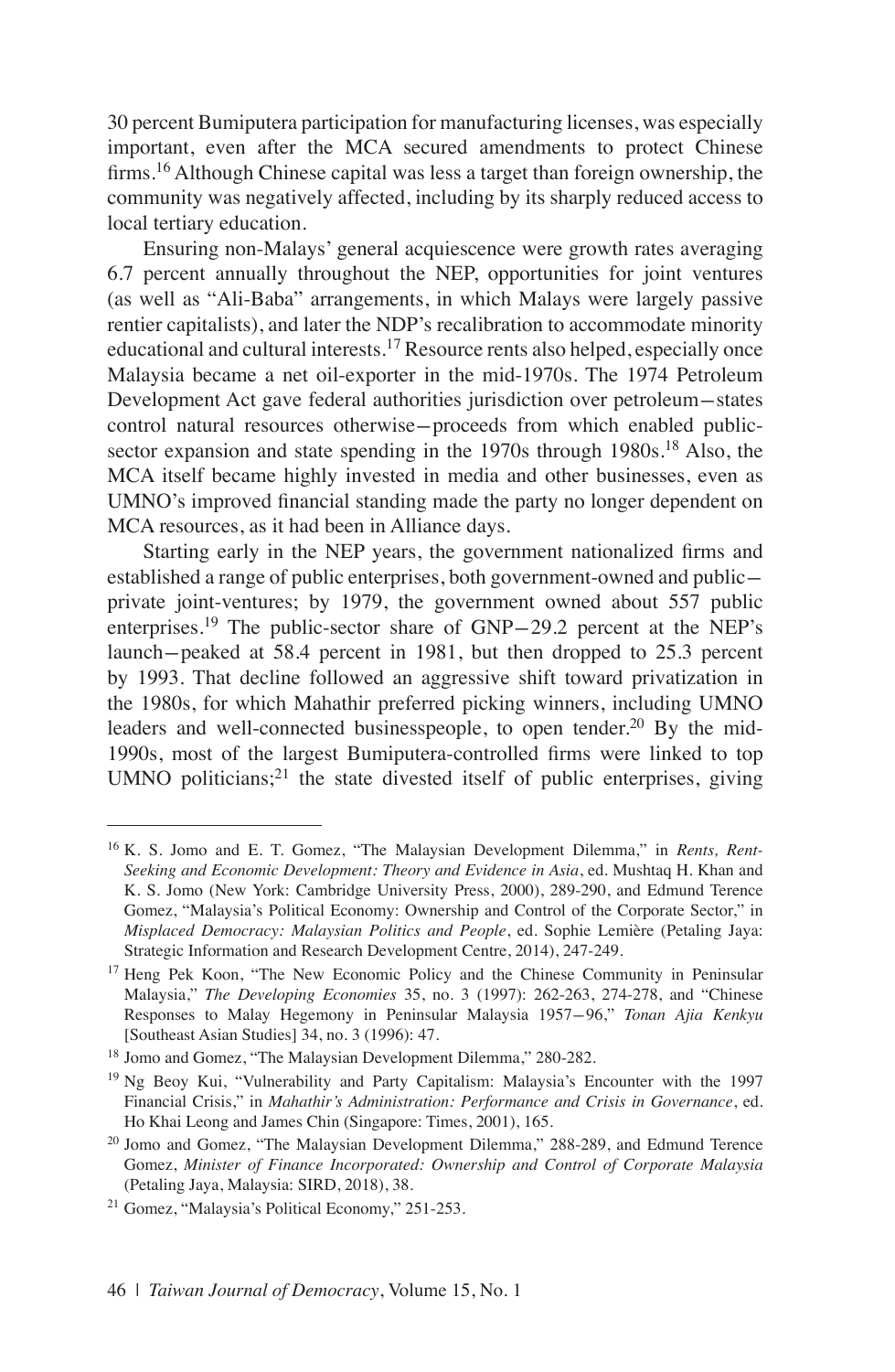30 percent Bumiputera participation for manufacturing licenses, was especially important, even after the MCA secured amendments to protect Chinese firms.<sup>16</sup> Although Chinese capital was less a target than foreign ownership, the community was negatively affected, including by its sharply reduced access to local tertiary education.

Ensuring non-Malays' general acquiescence were growth rates averaging 6.7 percent annually throughout the NEP, opportunities for joint ventures (as well as "Ali-Baba" arrangements, in which Malays were largely passive rentier capitalists), and later the NDP's recalibration to accommodate minority educational and cultural interests.<sup>17</sup> Resource rents also helped, especially once Malaysia became a net oil-exporter in the mid-1970s. The 1974 Petroleum Development Act gave federal authorities jurisdiction over petroleum-states control natural resources otherwise-proceeds from which enabled publicsector expansion and state spending in the  $1970s$  through  $1980s$ <sup>18</sup> Also, the MCA itself became highly invested in media and other businesses, even as UMNO's improved financial standing made the party no longer dependent on MCA resources, as it had been in Alliance days.

Starting early in the NEP years, the government nationalized firms and established a range of public enterprises, both government-owned and publicprivate joint-ventures; by 1979, the government owned about 557 public enterprises.<sup>19</sup> The public-sector share of  $GNP-29.2$  percent at the NEP's launch-peaked at 58.4 percent in 1981, but then dropped to 25.3 percent by 1993. That decline followed an aggressive shift toward privatization in the 1980s, for which Mahathir preferred picking winners, including UMNO leaders and well-connected businesspeople, to open tender.<sup>20</sup> By the mid-1990s, most of the largest Bumiputera-controlled firms were linked to top UMNO politicians; $^{21}$  the state divested itself of public enterprises, giving

<sup>16</sup> K. S. Jomo and E. T. Gomez, "The Malaysian Development Dilemma," in *Rents, Rent-Seeking and Economic Development: Theory and Evidence in Asia*, ed. Mushtaq H. Khan and K. S. Jomo (New York: Cambridge University Press, 2000), 289-290, and Edmund Terence Gomez, "Malaysia's Political Economy: Ownership and Control of the Corporate Sector," in *Misplaced Democracy: Malaysian Politics and People*, ed. Sophie Lemière (Petaling Jaya: Strategic Information and Research Development Centre, 2014), 247-249.

<sup>&</sup>lt;sup>17</sup> Heng Pek Koon, "The New Economic Policy and the Chinese Community in Peninsular Malaysia," *The Developing Economies* 35, no. 3 (1997): 262-263, 274-278, and "Chinese Responses to Malay Hegemony in Peninsular Malaysia 1957-96," *Tonan Ajia Kenkyu* [Southeast Asian Studies] 34, no. 3 (1996): 47.

<sup>18</sup> Jomo and Gomez, "The Malaysian Development Dilemma," 280-282.

<sup>19</sup> Ng Beoy Kui, "Vulnerability and Party Capitalism: Malaysia's Encounter with the 1997 Financial Crisis," in *Mahathir's Administration: Performance and Crisis in Governance*, ed. Ho Khai Leong and James Chin (Singapore: Times, 2001), 165.

<sup>&</sup>lt;sup>20</sup> Jomo and Gomez, "The Malaysian Development Dilemma," 288-289, and Edmund Terence Gomez, *Minister of Finance Incorporated: Ownership and Control of Corporate Malaysia*  (Petaling Jaya, Malaysia: SIRD, 2018), 38.

<sup>21</sup> Gomez, "Malaysia's Political Economy," 251-253.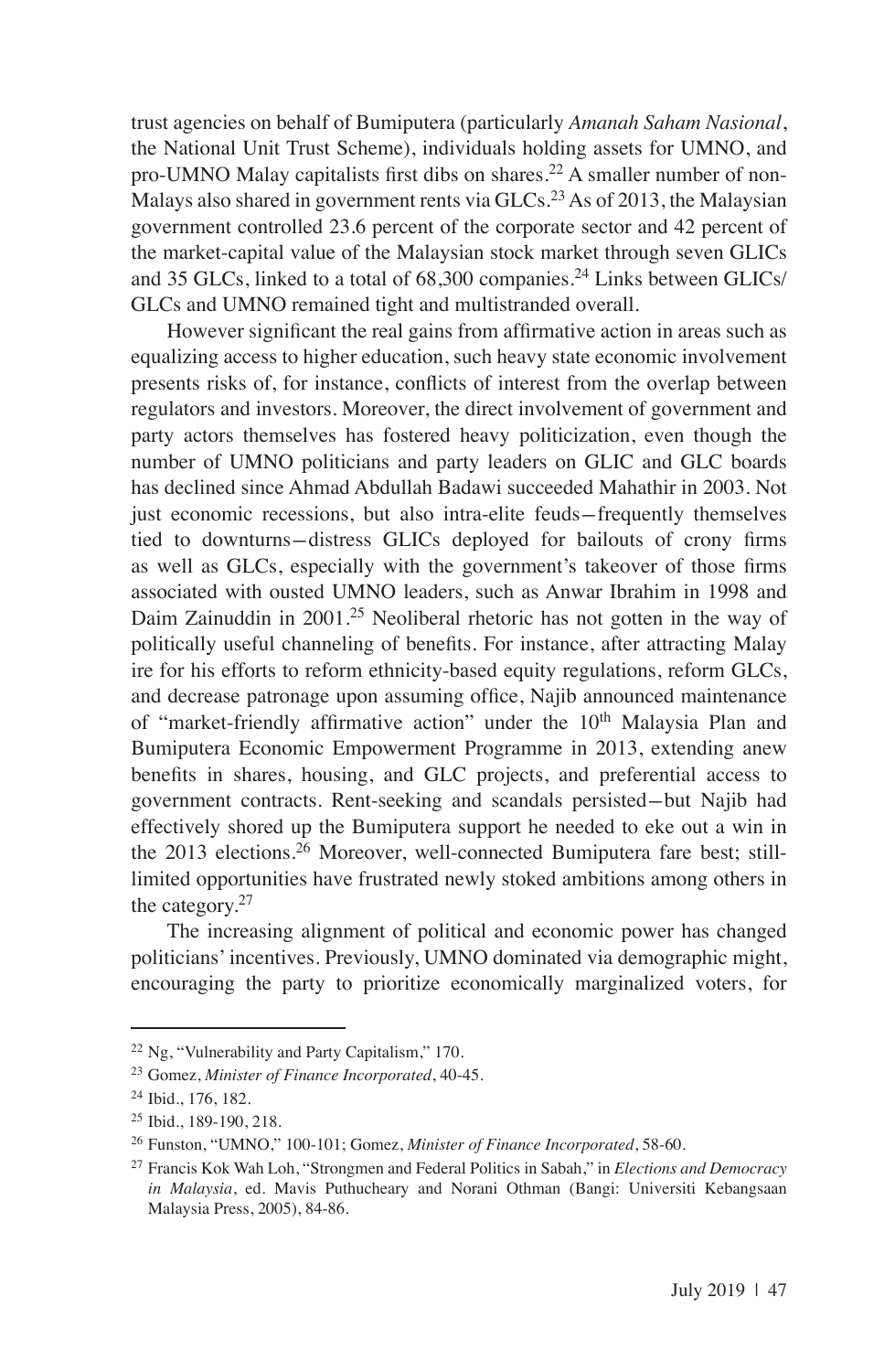trust agencies on behalf of Bumiputera (particularly *Amanah Saham Nasional*, the National Unit Trust Scheme), individuals holding assets for UMNO, and pro-UMNO Malay capitalists first dibs on shares.<sup>22</sup> A smaller number of non-Malays also shared in government rents via  $GLCs<sup>23</sup>$  As of 2013, the Malaysian government controlled 23.6 percent of the corporate sector and 42 percent of the market-capital value of the Malaysian stock market through seven GLICs and 35 GLCs, linked to a total of  $68,300$  companies.<sup>24</sup> Links between GLICs/ GLCs and UMNO remained tight and multistranded overall.

However significant the real gains from affirmative action in areas such as equalizing access to higher education, such heavy state economic involvement presents risks of, for instance, conflicts of interest from the overlap between regulators and investors. Moreover, the direct involvement of government and party actors themselves has fostered heavy politicization, even though the number of UMNO politicians and party leaders on GLIC and GLC boards has declined since Ahmad Abdullah Badawi succeeded Mahathir in 2003. Not just economic recessions, but also intra-elite feuds-frequently themselves tied to downturns-distress GLICs deployed for bailouts of crony firms as well as GLCs, especially with the government's takeover of those firms associated with ousted UMNO leaders, such as Anwar Ibrahim in 1998 and Daim Zainuddin in 2001.<sup>25</sup> Neoliberal rhetoric has not gotten in the way of politically useful channeling of benefits. For instance, after attracting Malay ire for his efforts to reform ethnicity-based equity regulations, reform GLCs, and decrease patronage upon assuming office, Najib announced maintenance of "market-friendly affirmative action" under the 10<sup>th</sup> Malaysia Plan and Bumiputera Economic Empowerment Programme in 2013, extending anew benefits in shares, housing, and GLC projects, and preferential access to government contracts. Rent-seeking and scandals persisted-but Najib had effectively shored up the Bumiputera support he needed to eke out a win in the 2013 elections.<sup>26</sup> Moreover, well-connected Bumiputera fare best; stilllimited opportunities have frustrated newly stoked ambitions among others in the category.<sup>27</sup>

The increasing alignment of political and economic power has changed politicians' incentives. Previously, UMNO dominated via demographic might, encouraging the party to prioritize economically marginalized voters, for

<sup>22</sup> Ng, "Vulnerability and Party Capitalism," 170.

<sup>23</sup> Gomez, *Minister of Finance Incorporated*, 40-45.

<sup>24</sup> Ibid., 176, 182.

<sup>25</sup> Ibid., 189-190, 218.

<sup>26</sup> Funston, "UMNO," 100-101; Gomez, *Minister of Finance Incorporated*, 58-60.

<sup>27</sup> Francis Kok Wah Loh, "Strongmen and Federal Politics in Sabah," in *Elections and Democracy in Malaysia*, ed. Mavis Puthucheary and Norani Othman (Bangi: Universiti Kebangsaan Malaysia Press, 2005), 84-86.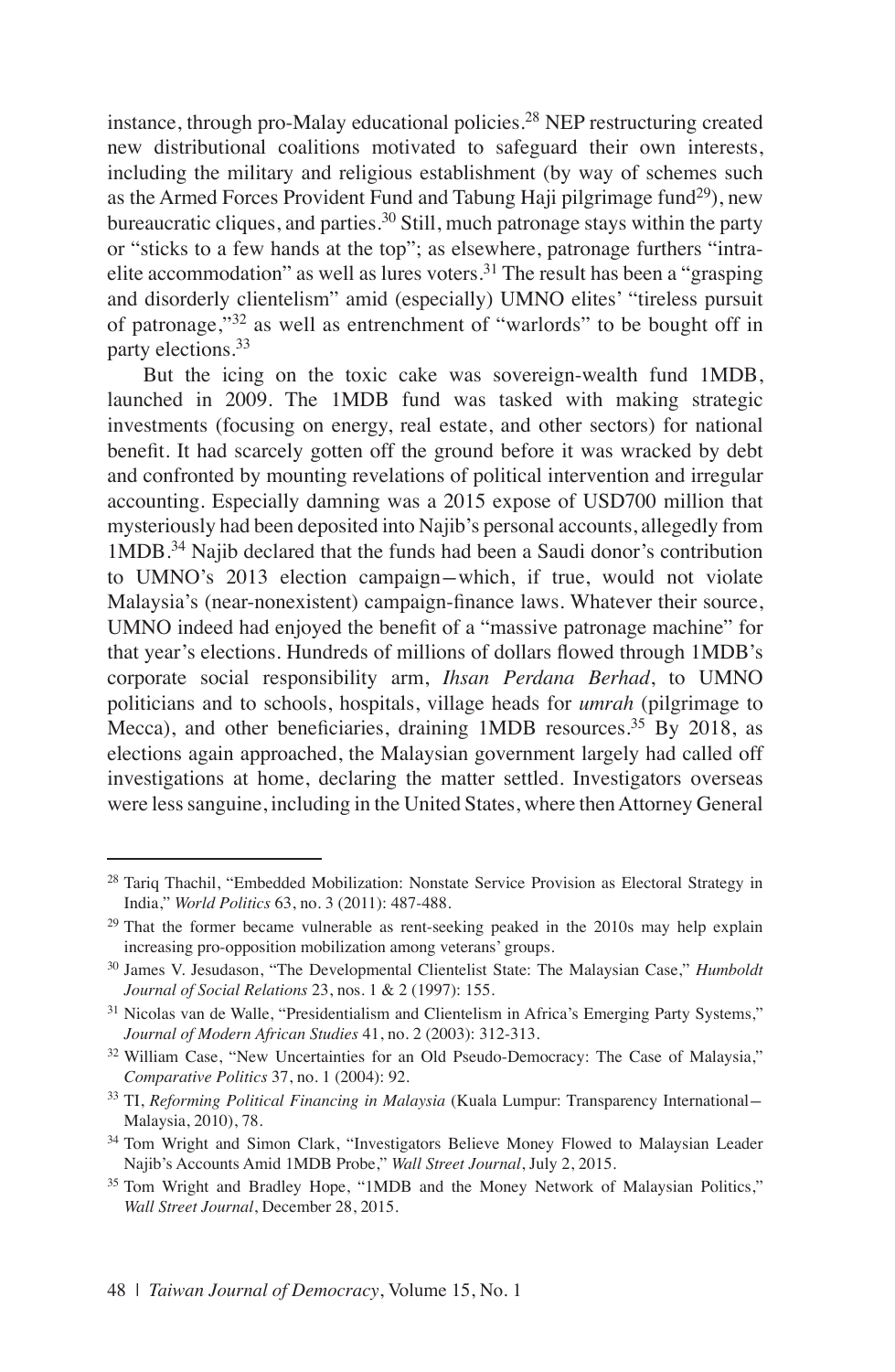instance, through pro-Malay educational policies.<sup>28</sup> NEP restructuring created new distributional coalitions motivated to safeguard their own interests, including the military and religious establishment (by way of schemes such as the Armed Forces Provident Fund and Tabung Haji pilgrimage fund<sup>29</sup>), new bureaucratic cliques, and parties.<sup>30</sup> Still, much patronage stays within the party or "sticks to a few hands at the top"; as elsewhere, patronage furthers "intraelite accommodation" as well as lures voters.<sup>31</sup> The result has been a "grasping" and disorderly clientelism" amid (especially) UMNO elites' "tireless pursuit of patronage,"<sup>32</sup> as well as entrenchment of "warlords" to be bought off in party elections.<sup>33</sup>

But the icing on the toxic cake was sovereign-wealth fund 1MDB, launched in 2009. The 1MDB fund was tasked with making strategic investments (focusing on energy, real estate, and other sectors) for national benefit. It had scarcely gotten off the ground before it was wracked by debt and confronted by mounting revelations of political intervention and irregular accounting. Especially damning was a 2015 expose of USD700 million that mysteriously had been deposited into Najib's personal accounts, allegedly from 1MDB.<sup>34</sup> Najib declared that the funds had been a Saudi donor's contribution to UMNO's 2013 election campaign-which, if true, would not violate Malaysia's (near-nonexistent) campaign-finance laws. Whatever their source, UMNO indeed had enjoyed the benefit of a "massive patronage machine" for that year's elections. Hundreds of millions of dollars flowed through 1MDB's corporate social responsibility arm, *Ihsan Perdana Berhad*, to UMNO politicians and to schools, hospitals, village heads for *umrah* (pilgrimage to Mecca), and other beneficiaries, draining 1MDB resources.<sup>35</sup> By 2018, as elections again approached, the Malaysian government largely had called off investigations at home, declaring the matter settled. Investigators overseas were less sanguine, including in the United States, where then Attorney General

<sup>&</sup>lt;sup>28</sup> Tariq Thachil, "Embedded Mobilization: Nonstate Service Provision as Electoral Strategy in India," *World Politics* 63, no. 3 (2011): 487-488.

<sup>&</sup>lt;sup>29</sup> That the former became vulnerable as rent-seeking peaked in the 2010s may help explain increasing pro-opposition mobilization among veterans' groups.

<sup>30</sup> James V. Jesudason, "The Developmental Clientelist State: The Malaysian Case," *Humboldt Journal of Social Relations* 23, nos. 1 & 2 (1997): 155.

<sup>&</sup>lt;sup>31</sup> Nicolas van de Walle, "Presidentialism and Clientelism in Africa's Emerging Party Systems," *Journal of Modern African Studies* 41, no. 2 (2003): 312-313.

<sup>&</sup>lt;sup>32</sup> William Case, "New Uncertainties for an Old Pseudo-Democracy: The Case of Malaysia," *Comparative Politics* 37, no. 1 (2004): 92.

<sup>33</sup> TI, *Reforming Political Financing in Malaysia* (Kuala Lumpur: Transparency International-Malaysia, 2010), 78.

<sup>&</sup>lt;sup>34</sup> Tom Wright and Simon Clark, "Investigators Believe Money Flowed to Malaysian Leader Najib's Accounts Amid 1MDB Probe," *Wall Street Journal*, July 2, 2015.

<sup>&</sup>lt;sup>35</sup> Tom Wright and Bradley Hope, "1MDB and the Money Network of Malaysian Politics," *Wall Street Journal*, December 28, 2015.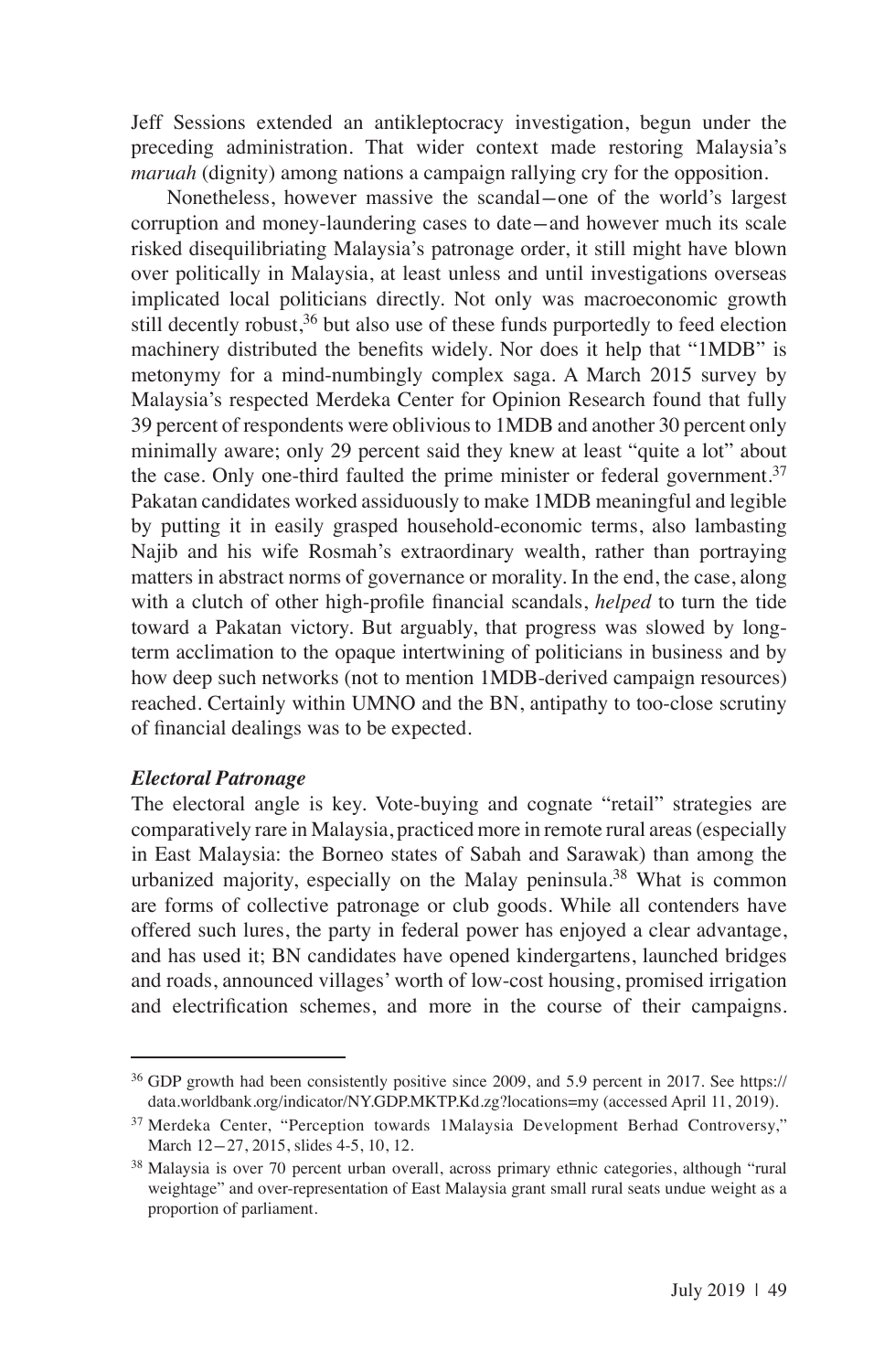Jeff Sessions extended an antikleptocracy investigation, begun under the preceding administration. That wider context made restoring Malaysia's *maruah* (dignity) among nations a campaign rallying cry for the opposition.

Nonetheless, however massive the scandal-one of the world's largest corruption and money-laundering cases to date-and however much its scale risked disequilibriating Malaysia's patronage order, it still might have blown over politically in Malaysia, at least unless and until investigations overseas implicated local politicians directly. Not only was macroeconomic growth still decently robust,<sup>36</sup> but also use of these funds purportedly to feed election machinery distributed the benefits widely. Nor does it help that "1MDB" is metonymy for a mind-numbingly complex saga. A March 2015 survey by Malaysia's respected Merdeka Center for Opinion Research found that fully 39 percent of respondents were oblivious to 1MDB and another 30 percent only minimally aware; only 29 percent said they knew at least "quite a lot" about the case. Only one-third faulted the prime minister or federal government.<sup>37</sup> Pakatan candidates worked assiduously to make 1MDB meaningful and legible by putting it in easily grasped household-economic terms, also lambasting Najib and his wife Rosmah's extraordinary wealth, rather than portraying matters in abstract norms of governance or morality. In the end, the case, along with a clutch of other high-profile financial scandals, *helped* to turn the tide toward a Pakatan victory. But arguably, that progress was slowed by longterm acclimation to the opaque intertwining of politicians in business and by how deep such networks (not to mention 1MDB-derived campaign resources) reached. Certainly within UMNO and the BN, antipathy to too-close scrutiny of financial dealings was to be expected.

### *Electoral Patronage*

The electoral angle is key. Vote-buying and cognate "retail" strategies are comparatively rare in Malaysia, practiced more in remote rural areas (especially in East Malaysia: the Borneo states of Sabah and Sarawak) than among the urbanized majority, especially on the Malay peninsula.<sup>38</sup> What is common are forms of collective patronage or club goods. While all contenders have offered such lures, the party in federal power has enjoyed a clear advantage, and has used it; BN candidates have opened kindergartens, launched bridges and roads, announced villages' worth of low-cost housing, promised irrigation and electrification schemes, and more in the course of their campaigns.

<sup>&</sup>lt;sup>36</sup> GDP growth had been consistently positive since 2009, and 5.9 percent in 2017. See https:// data.worldbank.org/indicator/NY.GDP.MKTP.Kd.zg?locations=my (accessed April 11, 2019).

<sup>37</sup> Merdeka Center, "Perception towards 1Malaysia Development Berhad Controversy," March 12-27, 2015, slides 4-5, 10, 12.

<sup>&</sup>lt;sup>38</sup> Malaysia is over 70 percent urban overall, across primary ethnic categories, although "rural weightage" and over-representation of East Malaysia grant small rural seats undue weight as a proportion of parliament.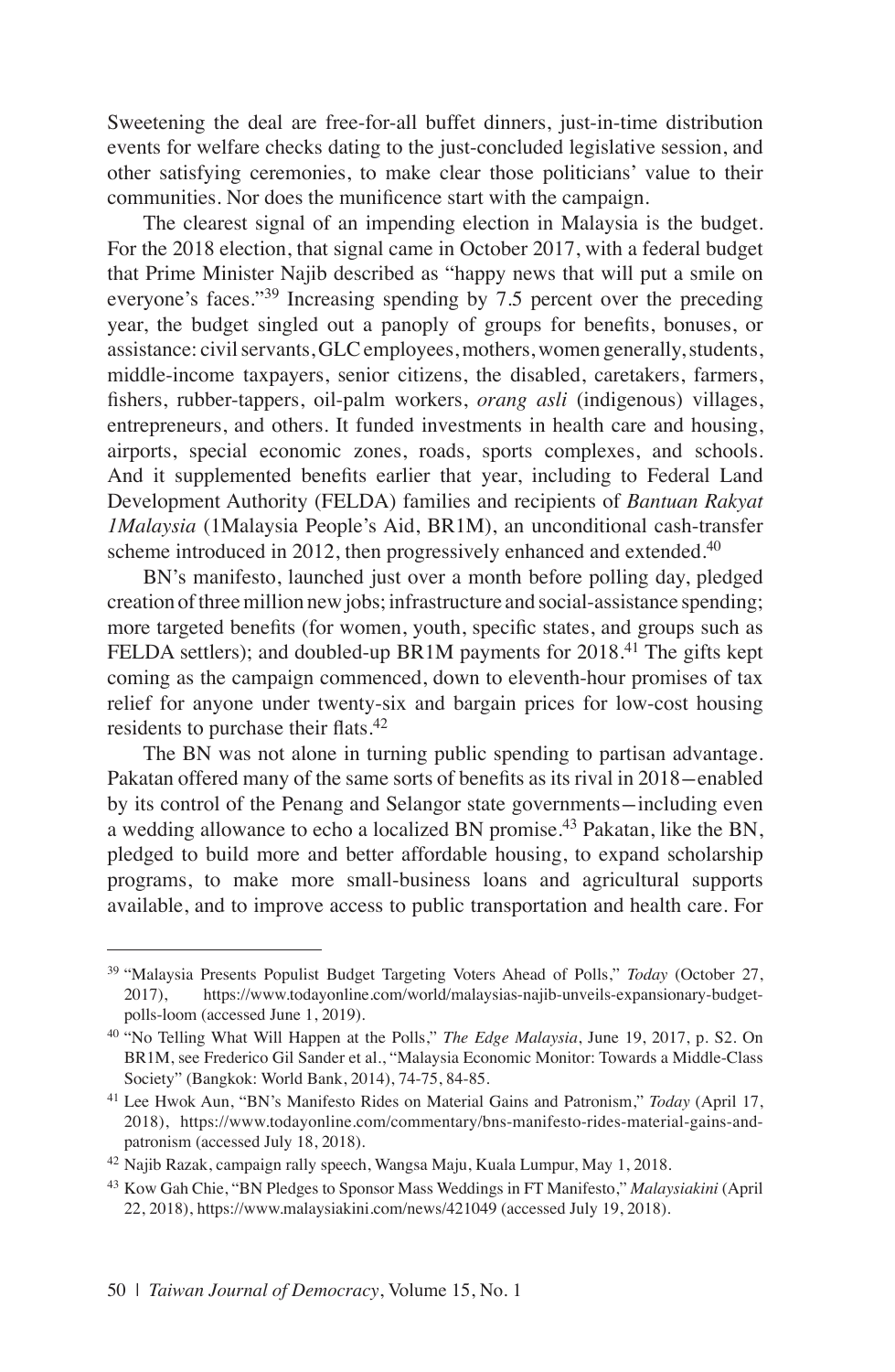Sweetening the deal are free-for-all buffet dinners, just-in-time distribution events for welfare checks dating to the just-concluded legislative session, and other satisfying ceremonies, to make clear those politicians' value to their communities. Nor does the munificence start with the campaign.

The clearest signal of an impending election in Malaysia is the budget. For the 2018 election, that signal came in October 2017, with a federal budget that Prime Minister Najib described as "happy news that will put a smile on everyone's faces."<sup>39</sup> Increasing spending by 7.5 percent over the preceding year, the budget singled out a panoply of groups for benefits, bonuses, or assistance: civil servants, GLC employees, mothers, women generally, students, middle-income taxpayers, senior citizens, the disabled, caretakers, farmers, fishers, rubber-tappers, oil-palm workers, *orang asli* (indigenous) villages, entrepreneurs, and others. It funded investments in health care and housing, airports, special economic zones, roads, sports complexes, and schools. And it supplemented benefits earlier that year, including to Federal Land Development Authority (FELDA) families and recipients of *Bantuan Rakyat 1Malaysia* (1Malaysia People's Aid, BR1M), an unconditional cash-transfer scheme introduced in 2012, then progressively enhanced and extended.<sup>40</sup>

BN's manifesto, launched just over a month before polling day, pledged creation of three million new jobs; infrastructure and social-assistance spending; more targeted benefits (for women, youth, specific states, and groups such as FELDA settlers); and doubled-up BR1M payments for 2018.<sup>41</sup> The gifts kept coming as the campaign commenced, down to eleventh-hour promises of tax relief for anyone under twenty-six and bargain prices for low-cost housing residents to purchase their flats.<sup>42</sup>

The BN was not alone in turning public spending to partisan advantage. Pakatan offered many of the same sorts of benefits as its rival in 2018-enabled by its control of the Penang and Selangor state governments-including even a wedding allowance to echo a localized BN promise.<sup>43</sup> Pakatan, like the BN, pledged to build more and better affordable housing, to expand scholarship programs, to make more small-business loans and agricultural supports available, and to improve access to public transportation and health care. For

<sup>39</sup> "Malaysia Presents Populist Budget Targeting Voters Ahead of Polls," *Today* (October 27, 2017), https://www.todayonline.com/world/malaysias-najib-unveils-expansionary-budgetpolls-loom (accessed June 1, 2019).

<sup>40</sup> "No Telling What Will Happen at the Polls," *The Edge Malaysia*, June 19, 2017, p. S2. On BR1M, see Frederico Gil Sander et al., "Malaysia Economic Monitor: Towards a Middle-Class Society" (Bangkok: World Bank, 2014), 74-75, 84-85.

<sup>41</sup> Lee Hwok Aun, "BN's Manifesto Rides on Material Gains and Patronism," *Today* (April 17, 2018), https://www.todayonline.com/commentary/bns-manifesto-rides-material-gains-andpatronism (accessed July 18, 2018).

<sup>&</sup>lt;sup>42</sup> Najib Razak, campaign rally speech, Wangsa Maju, Kuala Lumpur, May 1, 2018.

<sup>43</sup> Kow Gah Chie, "BN Pledges to Sponsor Mass Weddings in FT Manifesto," *Malaysiakini* (April 22, 2018), https://www.malaysiakini.com/news/421049 (accessed July 19, 2018).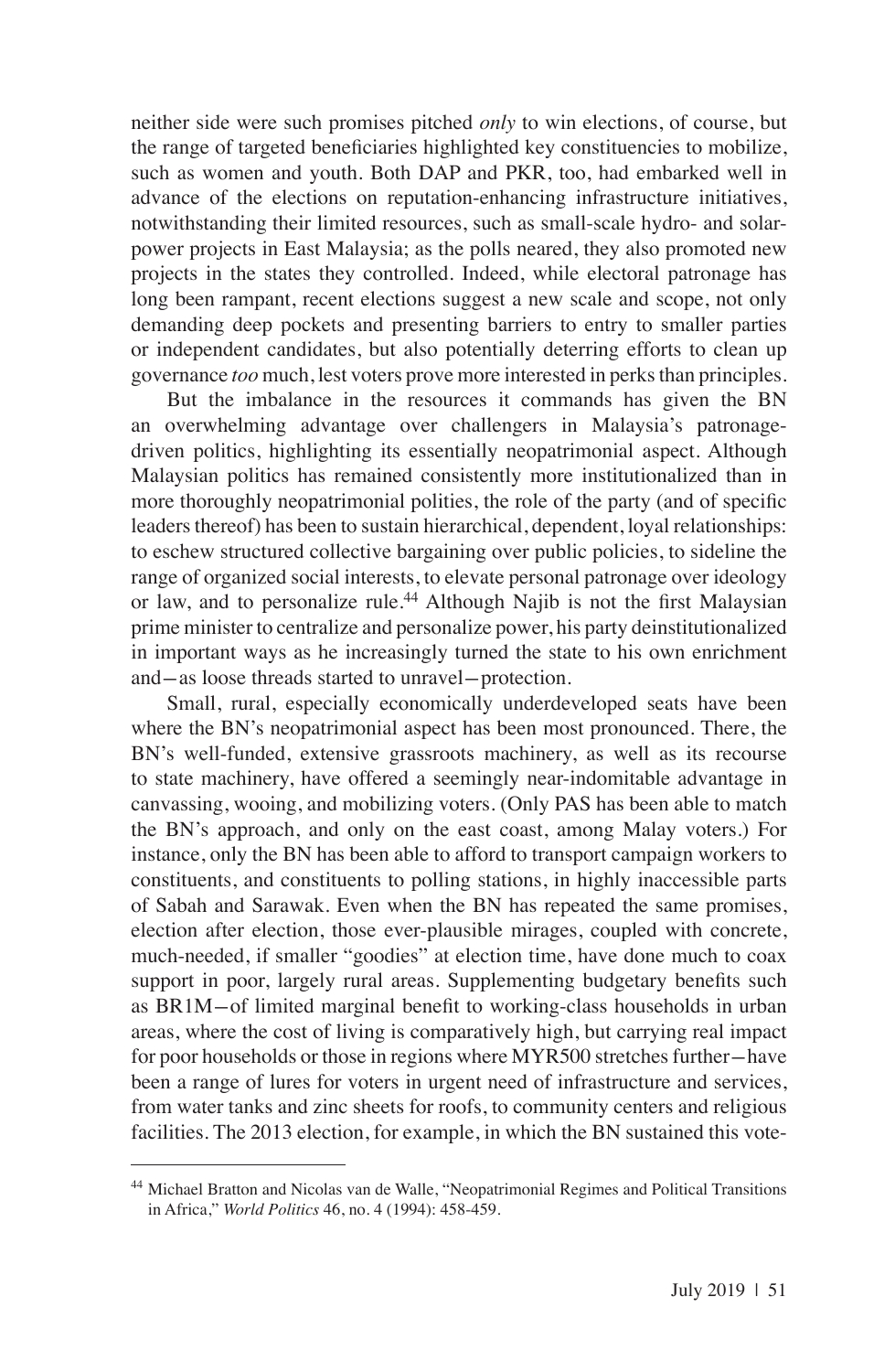neither side were such promises pitched *only* to win elections, of course, but the range of targeted beneficiaries highlighted key constituencies to mobilize, such as women and youth. Both DAP and PKR, too, had embarked well in advance of the elections on reputation-enhancing infrastructure initiatives, notwithstanding their limited resources, such as small-scale hydro- and solarpower projects in East Malaysia; as the polls neared, they also promoted new projects in the states they controlled. Indeed, while electoral patronage has long been rampant, recent elections suggest a new scale and scope, not only demanding deep pockets and presenting barriers to entry to smaller parties or independent candidates, but also potentially deterring efforts to clean up governance *too* much, lest voters prove more interested in perks than principles.

But the imbalance in the resources it commands has given the BN an overwhelming advantage over challengers in Malaysia's patronagedriven politics, highlighting its essentially neopatrimonial aspect. Although Malaysian politics has remained consistently more institutionalized than in more thoroughly neopatrimonial polities, the role of the party (and of specific leaders thereof) has been to sustain hierarchical, dependent, loyal relationships: to eschew structured collective bargaining over public policies, to sideline the range of organized social interests, to elevate personal patronage over ideology or law, and to personalize rule.<sup>44</sup> Although Najib is not the first Malaysian prime minister to centralize and personalize power, his party deinstitutionalized in important ways as he increasingly turned the state to his own enrichment and-as loose threads started to unravel-protection.

Small, rural, especially economically underdeveloped seats have been where the BN's neopatrimonial aspect has been most pronounced. There, the BN's well-funded, extensive grassroots machinery, as well as its recourse to state machinery, have offered a seemingly near-indomitable advantage in canvassing, wooing, and mobilizing voters. (Only PAS has been able to match the BN's approach, and only on the east coast, among Malay voters.) For instance, only the BN has been able to afford to transport campaign workers to constituents, and constituents to polling stations, in highly inaccessible parts of Sabah and Sarawak. Even when the BN has repeated the same promises, election after election, those ever-plausible mirages, coupled with concrete, much-needed, if smaller "goodies" at election time, have done much to coax support in poor, largely rural areas. Supplementing budgetary benefits such as BR1M-of limited marginal benefit to working-class households in urban areas, where the cost of living is comparatively high, but carrying real impact for poor households or those in regions where MYR500 stretches further-have been a range of lures for voters in urgent need of infrastructure and services, from water tanks and zinc sheets for roofs, to community centers and religious facilities. The 2013 election, for example, in which the BN sustained this vote-

<sup>44</sup> Michael Bratton and Nicolas van de Walle, "Neopatrimonial Regimes and Political Transitions in Africa," *World Politics* 46, no. 4 (1994): 458-459.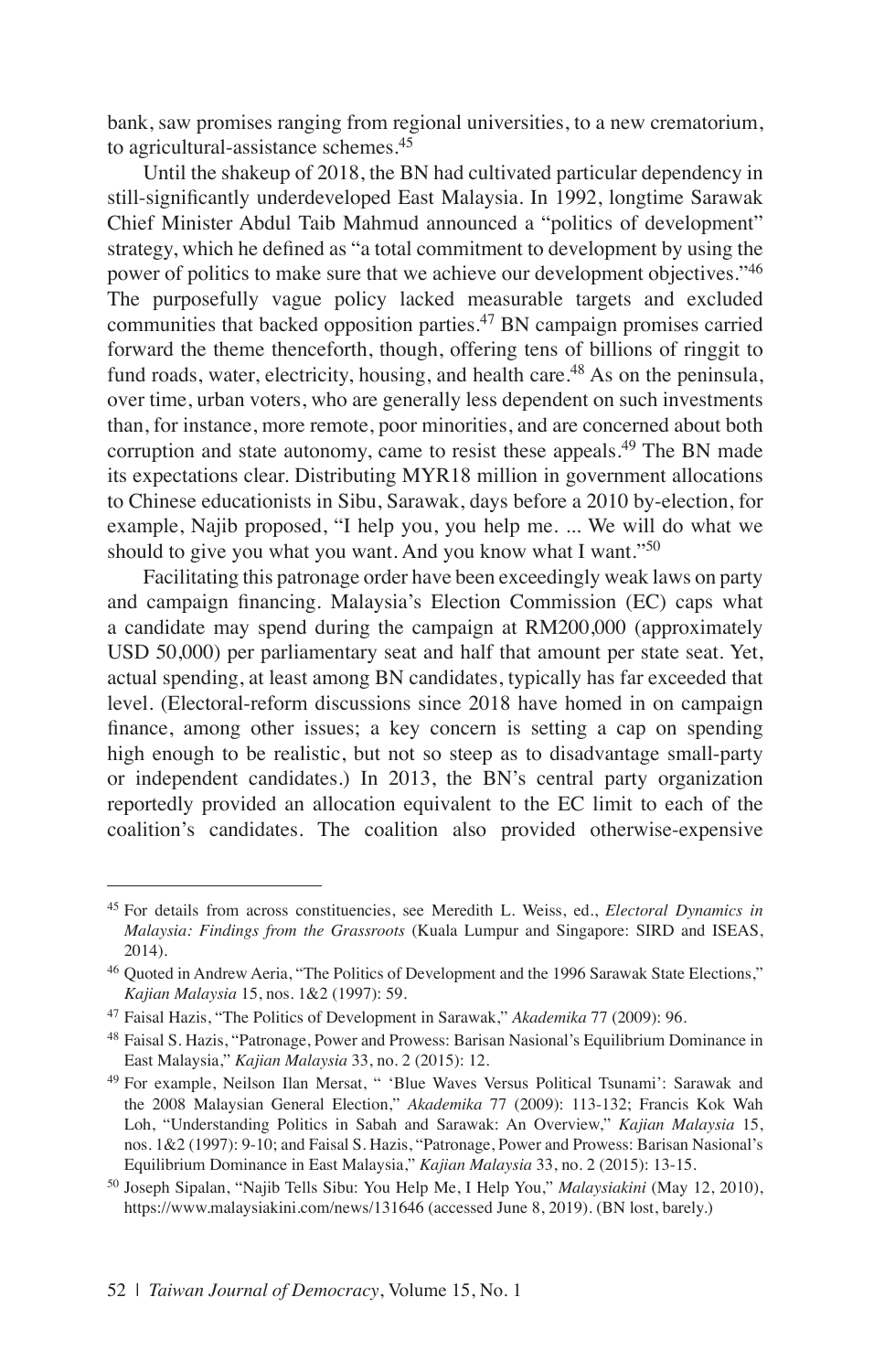bank, saw promises ranging from regional universities, to a new crematorium, to agricultural-assistance schemes.45

Until the shakeup of 2018, the BN had cultivated particular dependency in still-significantly underdeveloped East Malaysia. In 1992, longtime Sarawak Chief Minister Abdul Taib Mahmud announced a "politics of development" strategy, which he defined as "a total commitment to development by using the power of politics to make sure that we achieve our development objectives."<sup>46</sup> The purposefully vague policy lacked measurable targets and excluded communities that backed opposition parties.<sup>47</sup> BN campaign promises carried forward the theme thenceforth, though, offering tens of billions of ringgit to fund roads, water, electricity, housing, and health care.<sup>48</sup> As on the peninsula, over time, urban voters, who are generally less dependent on such investments than, for instance, more remote, poor minorities, and are concerned about both corruption and state autonomy, came to resist these appeals.<sup>49</sup> The BN made its expectations clear. Distributing MYR18 million in government allocations to Chinese educationists in Sibu, Sarawak, days before a 2010 by-election, for example, Najib proposed, "I help you, you help me. ... We will do what we should to give you what you want. And you know what I want."<sup>50</sup>

Facilitating this patronage order have been exceedingly weak laws on party and campaign financing. Malaysia's Election Commission (EC) caps what a candidate may spend during the campaign at RM200,000 (approximately USD 50,000) per parliamentary seat and half that amount per state seat. Yet, actual spending, at least among BN candidates, typically has far exceeded that level. (Electoral-reform discussions since 2018 have homed in on campaign finance, among other issues; a key concern is setting a cap on spending high enough to be realistic, but not so steep as to disadvantage small-party or independent candidates.) In 2013, the BN's central party organization reportedly provided an allocation equivalent to the EC limit to each of the coalition's candidates. The coalition also provided otherwise-expensive

<sup>45</sup> For details from across constituencies, see Meredith L. Weiss, ed., *Electoral Dynamics in Malaysia: Findings from the Grassroots* (Kuala Lumpur and Singapore: SIRD and ISEAS, 2014).

<sup>46</sup> Quoted in Andrew Aeria, "The Politics of Development and the 1996 Sarawak State Elections," *Kajian Malaysia* 15, nos. 1&2 (1997): 59.

<sup>47</sup> Faisal Hazis, "The Politics of Development in Sarawak," *Akademika* 77 (2009): 96.

<sup>48</sup> Faisal S. Hazis, "Patronage, Power and Prowess: Barisan Nasional's Equilibrium Dominance in East Malaysia," *Kajian Malaysia* 33, no. 2 (2015): 12.

<sup>49</sup> For example, Neilson Ilan Mersat, " 'Blue Waves Versus Political Tsunami': Sarawak and the 2008 Malaysian General Election," *Akademika* 77 (2009): 113-132; Francis Kok Wah Loh, "Understanding Politics in Sabah and Sarawak: An Overview," *Kajian Malaysia* 15, nos. 1&2 (1997): 9-10; and Faisal S. Hazis, "Patronage, Power and Prowess: Barisan Nasional's Equilibrium Dominance in East Malaysia," *Kajian Malaysia* 33, no. 2 (2015): 13-15.

<sup>50</sup> Joseph Sipalan, "Najib Tells Sibu: You Help Me, I Help You," *Malaysiakini* (May 12, 2010), https://www.malaysiakini.com/news/131646 (accessed June 8, 2019). (BN lost, barely.)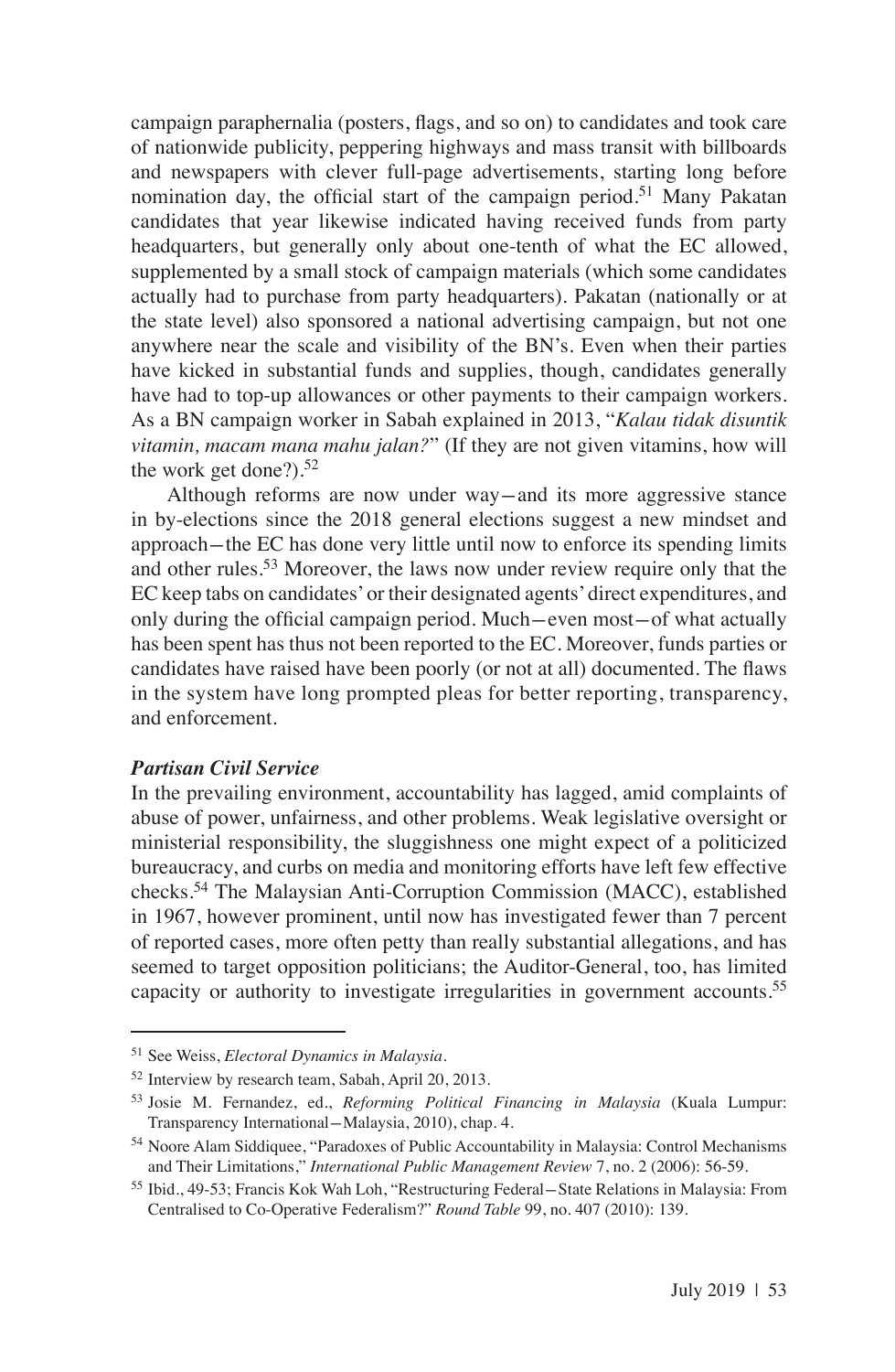campaign paraphernalia (posters, flags, and so on) to candidates and took care of nationwide publicity, peppering highways and mass transit with billboards and newspapers with clever full-page advertisements, starting long before nomination day, the official start of the campaign period.<sup>51</sup> Many Pakatan candidates that year likewise indicated having received funds from party headquarters, but generally only about one-tenth of what the EC allowed, supplemented by a small stock of campaign materials (which some candidates actually had to purchase from party headquarters). Pakatan (nationally or at the state level) also sponsored a national advertising campaign, but not one anywhere near the scale and visibility of the BN's. Even when their parties have kicked in substantial funds and supplies, though, candidates generally have had to top-up allowances or other payments to their campaign workers. As a BN campaign worker in Sabah explained in 2013, "*Kalau tidak disuntik vitamin, macam mana mahu jalan?*" (If they are not given vitamins, how will the work get done?). $52$ 

Although reforms are now under way-and its more aggressive stance in by-elections since the 2018 general elections suggest a new mindset and approach-the EC has done very little until now to enforce its spending limits and other rules.<sup>53</sup> Moreover, the laws now under review require only that the EC keep tabs on candidates' or their designated agents' direct expenditures, and only during the official campaign period. Much-even most-of what actually has been spent has thus not been reported to the EC. Moreover, funds parties or candidates have raised have been poorly (or not at all) documented. The flaws in the system have long prompted pleas for better reporting, transparency, and enforcement.

## *Partisan Civil Service*

In the prevailing environment, accountability has lagged, amid complaints of abuse of power, unfairness, and other problems. Weak legislative oversight or ministerial responsibility, the sluggishness one might expect of a politicized bureaucracy, and curbs on media and monitoring efforts have left few effective checks.54 The Malaysian Anti-Corruption Commission (MACC), established in 1967, however prominent, until now has investigated fewer than 7 percent of reported cases, more often petty than really substantial allegations, and has seemed to target opposition politicians; the Auditor-General, too, has limited capacity or authority to investigate irregularities in government accounts.55

<sup>51</sup> See Weiss, *Electoral Dynamics in Malaysia*.

<sup>52</sup> Interview by research team, Sabah, April 20, 2013.

<sup>53</sup> Josie M. Fernandez, ed., *Reforming Political Financing in Malaysia* (Kuala Lumpur: Transparency International-Malaysia, 2010), chap. 4.

<sup>54</sup> Noore Alam Siddiquee, "Paradoxes of Public Accountability in Malaysia: Control Mechanisms and Their Limitations," *International Public Management Review* 7, no. 2 (2006): 56-59.

<sup>55</sup> Ibid., 49-53; Francis Kok Wah Loh, "Restructuring Federal-State Relations in Malaysia: From Centralised to Co-Operative Federalism?" *Round Table* 99, no. 407 (2010): 139.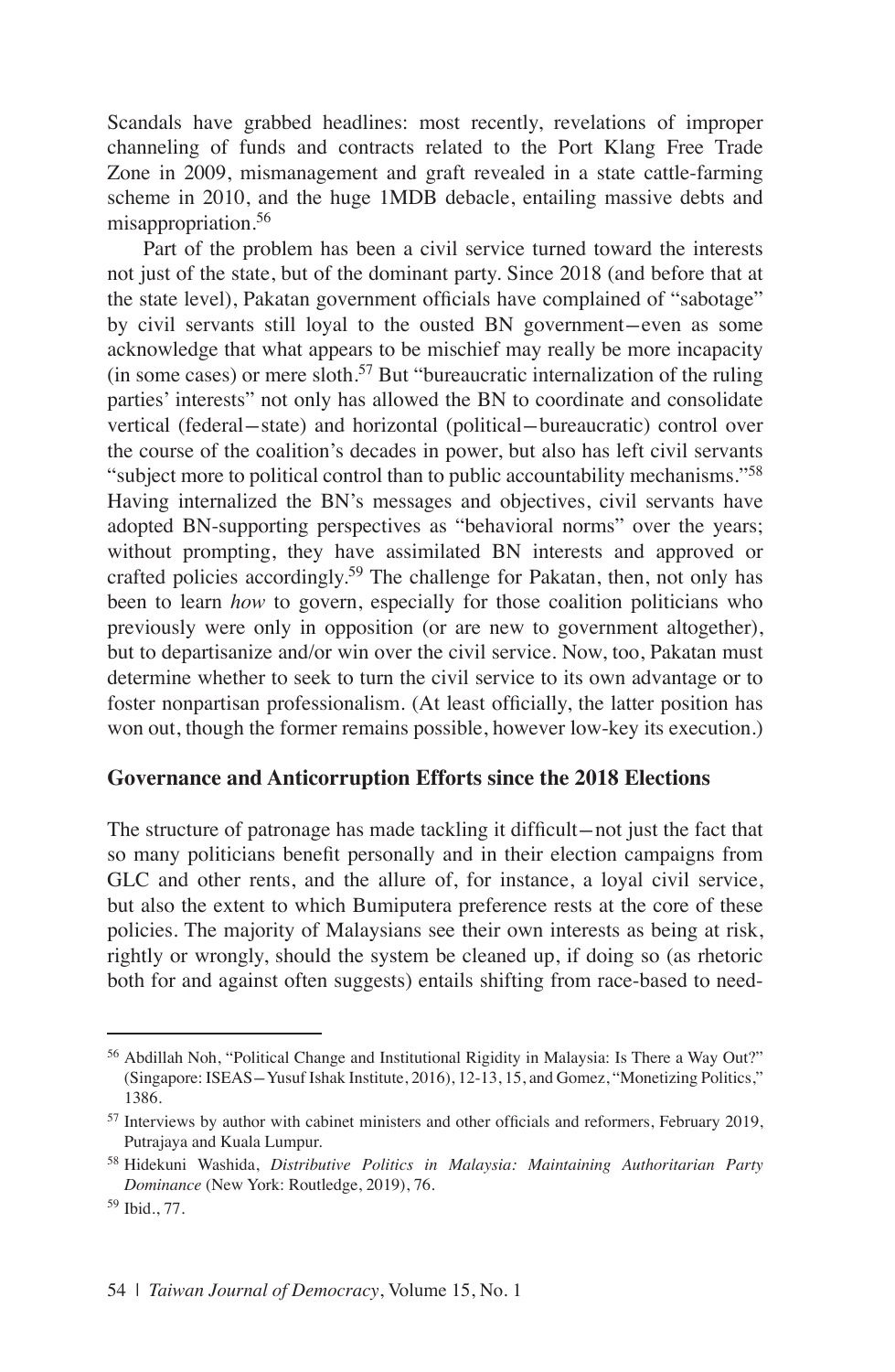Scandals have grabbed headlines: most recently, revelations of improper channeling of funds and contracts related to the Port Klang Free Trade Zone in 2009, mismanagement and graft revealed in a state cattle-farming scheme in 2010, and the huge 1MDB debacle, entailing massive debts and misappropriation.56

Part of the problem has been a civil service turned toward the interests not just of the state, but of the dominant party. Since 2018 (and before that at the state level), Pakatan government officials have complained of "sabotage" by civil servants still loyal to the ousted BN government-even as some acknowledge that what appears to be mischief may really be more incapacity (in some cases) or mere sloth.<sup>57</sup> But "bureaucratic internalization of the ruling parties' interests" not only has allowed the BN to coordinate and consolidate vertical (federal-state) and horizontal (political-bureaucratic) control over the course of the coalition's decades in power, but also has left civil servants "subject more to political control than to public accountability mechanisms."58 Having internalized the BN's messages and objectives, civil servants have adopted BN-supporting perspectives as "behavioral norms" over the years; without prompting, they have assimilated BN interests and approved or crafted policies accordingly.<sup>59</sup> The challenge for Pakatan, then, not only has been to learn *how* to govern, especially for those coalition politicians who previously were only in opposition (or are new to government altogether), but to departisanize and/or win over the civil service. Now, too, Pakatan must determine whether to seek to turn the civil service to its own advantage or to foster nonpartisan professionalism. (At least officially, the latter position has won out, though the former remains possible, however low-key its execution.)

### **Governance and Anticorruption Efforts since the 2018 Elections**

The structure of patronage has made tackling it difficult-not just the fact that so many politicians benefit personally and in their election campaigns from GLC and other rents, and the allure of, for instance, a loyal civil service, but also the extent to which Bumiputera preference rests at the core of these policies. The majority of Malaysians see their own interests as being at risk, rightly or wrongly, should the system be cleaned up, if doing so (as rhetoric both for and against often suggests) entails shifting from race-based to need-

<sup>56</sup> Abdillah Noh, "Political Change and Institutional Rigidity in Malaysia: Is There a Way Out?" (Singapore: ISEAS-Yusuf Ishak Institute, 2016), 12-13, 15, and Gomez, "Monetizing Politics," 1386.

<sup>&</sup>lt;sup>57</sup> Interviews by author with cabinet ministers and other officials and reformers, February 2019, Putrajaya and Kuala Lumpur.

<sup>58</sup> Hidekuni Washida, *Distributive Politics in Malaysia: Maintaining Authoritarian Party Dominance* (New York: Routledge, 2019), 76.

<sup>59</sup> Ibid., 77.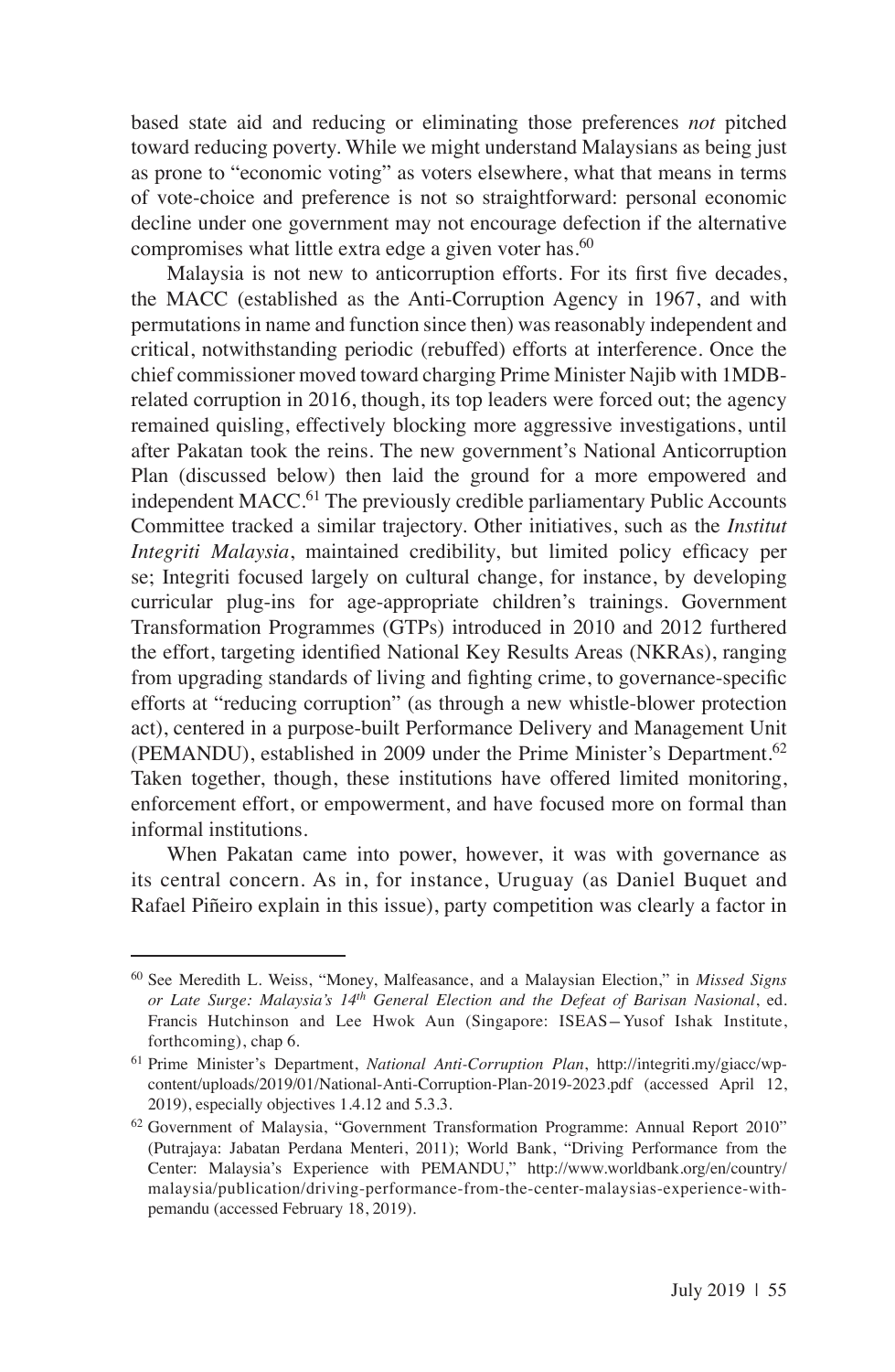based state aid and reducing or eliminating those preferences *not* pitched toward reducing poverty. While we might understand Malaysians as being just as prone to "economic voting" as voters elsewhere, what that means in terms of vote-choice and preference is not so straightforward: personal economic decline under one government may not encourage defection if the alternative compromises what little extra edge a given voter has.<sup>60</sup>

Malaysia is not new to anticorruption efforts. For its first five decades, the MACC (established as the Anti-Corruption Agency in 1967, and with permutations in name and function since then) was reasonably independent and critical, notwithstanding periodic (rebuffed) efforts at interference. Once the chief commissioner moved toward charging Prime Minister Najib with 1MDBrelated corruption in 2016, though, its top leaders were forced out; the agency remained quisling, effectively blocking more aggressive investigations, until after Pakatan took the reins. The new government's National Anticorruption Plan (discussed below) then laid the ground for a more empowered and independent MACC.<sup>61</sup> The previously credible parliamentary Public Accounts Committee tracked a similar trajectory. Other initiatives, such as the *Institut Integriti Malaysia*, maintained credibility, but limited policy efficacy per se; Integriti focused largely on cultural change, for instance, by developing curricular plug-ins for age-appropriate children's trainings. Government Transformation Programmes (GTPs) introduced in 2010 and 2012 furthered the effort, targeting identified National Key Results Areas (NKRAs), ranging from upgrading standards of living and fighting crime, to governance-specific efforts at "reducing corruption" (as through a new whistle-blower protection act), centered in a purpose-built Performance Delivery and Management Unit (PEMANDU), established in 2009 under the Prime Minister's Department.<sup>62</sup> Taken together, though, these institutions have offered limited monitoring, enforcement effort, or empowerment, and have focused more on formal than informal institutions.

When Pakatan came into power, however, it was with governance as its central concern. As in, for instance, Uruguay (as Daniel Buquet and Rafael Piñeiro explain in this issue), party competition was clearly a factor in

<sup>60</sup> See Meredith L. Weiss, "Money, Malfeasance, and a Malaysian Election," in *Missed Signs or Late Surge: Malaysia's 14th General Election and the Defeat of Barisan Nasional*, ed. Francis Hutchinson and Lee Hwok Aun (Singapore: ISEAS-Yusof Ishak Institute, forthcoming), chap 6.

<sup>61</sup> Prime Minister's Department, *National Anti-Corruption Plan*, http://integriti.my/giacc/wpcontent/uploads/2019/01/National-Anti-Corruption-Plan-2019-2023.pdf (accessed April 12, 2019), especially objectives 1.4.12 and 5.3.3.

<sup>62</sup> Government of Malaysia, "Government Transformation Programme: Annual Report 2010" (Putrajaya: Jabatan Perdana Menteri, 2011); World Bank, "Driving Performance from the Center: Malaysia's Experience with PEMANDU," http://www.worldbank.org/en/country/ malaysia/publication/driving-performance-from-the-center-malaysias-experience-withpemandu (accessed February 18, 2019).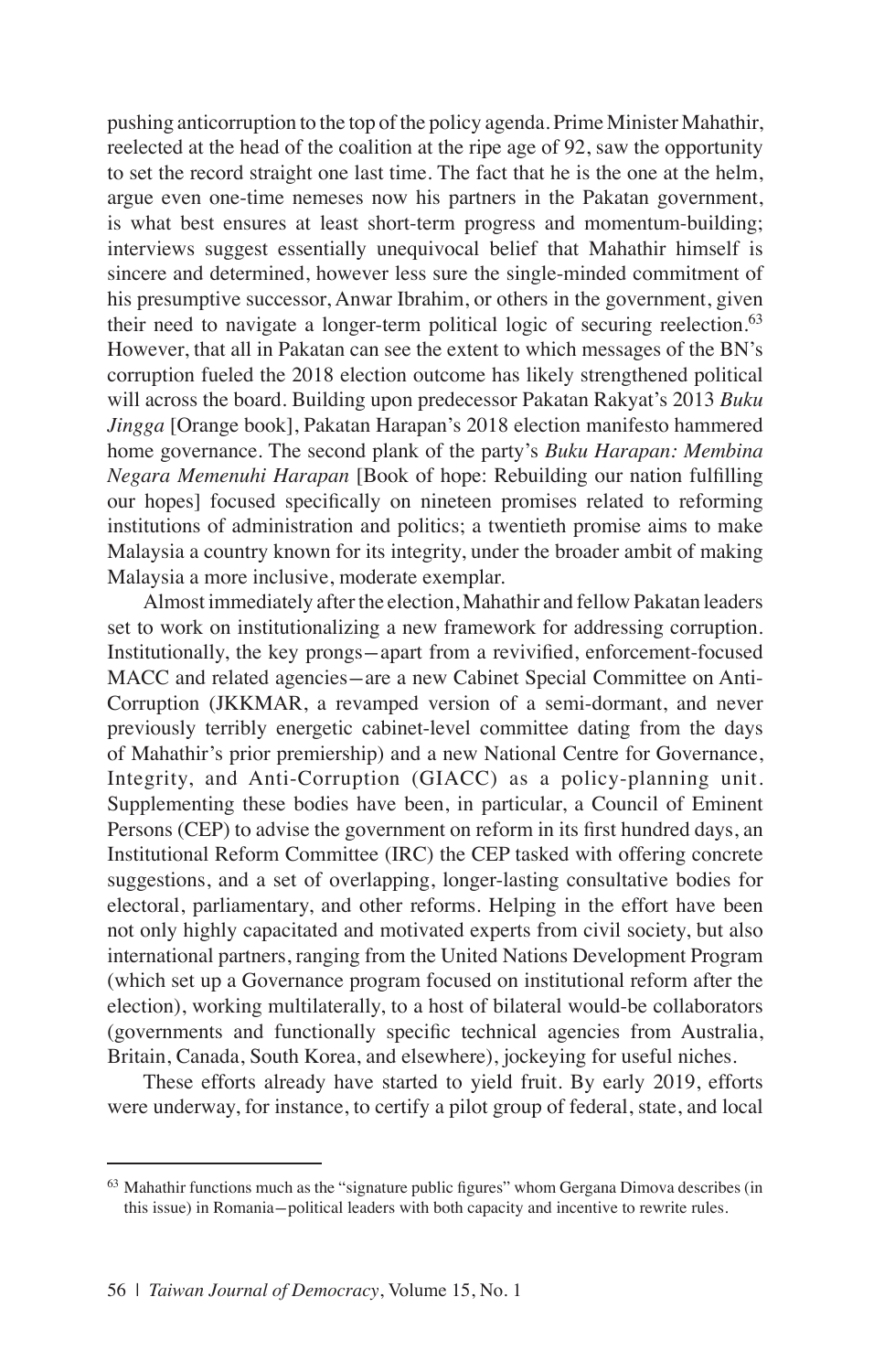pushing anticorruption to the top of the policy agenda. Prime Minister Mahathir, reelected at the head of the coalition at the ripe age of 92, saw the opportunity to set the record straight one last time. The fact that he is the one at the helm, argue even one-time nemeses now his partners in the Pakatan government, is what best ensures at least short-term progress and momentum-building; interviews suggest essentially unequivocal belief that Mahathir himself is sincere and determined, however less sure the single-minded commitment of his presumptive successor, Anwar Ibrahim, or others in the government, given their need to navigate a longer-term political logic of securing reelection.<sup>63</sup> However, that all in Pakatan can see the extent to which messages of the BN's corruption fueled the 2018 election outcome has likely strengthened political will across the board. Building upon predecessor Pakatan Rakyat's 2013 *Buku Jingga* [Orange book], Pakatan Harapan's 2018 election manifesto hammered home governance. The second plank of the party's *Buku Harapan: Membina Negara Memenuhi Harapan* [Book of hope: Rebuilding our nation fulfilling our hopes] focused specifically on nineteen promises related to reforming institutions of administration and politics; a twentieth promise aims to make Malaysia a country known for its integrity, under the broader ambit of making Malaysia a more inclusive, moderate exemplar.

Almost immediately after the election, Mahathir and fellow Pakatan leaders set to work on institutionalizing a new framework for addressing corruption. Institutionally, the key prongs-apart from a revivified, enforcement-focused MACC and related agencies-are a new Cabinet Special Committee on Anti-Corruption (JKKMAR, a revamped version of a semi-dormant, and never previously terribly energetic cabinet-level committee dating from the days of Mahathir's prior premiership) and a new National Centre for Governance, Integrity, and Anti-Corruption (GIACC) as a policy-planning unit. Supplementing these bodies have been, in particular, a Council of Eminent Persons (CEP) to advise the government on reform in its first hundred days, an Institutional Reform Committee (IRC) the CEP tasked with offering concrete suggestions, and a set of overlapping, longer-lasting consultative bodies for electoral, parliamentary, and other reforms. Helping in the effort have been not only highly capacitated and motivated experts from civil society, but also international partners, ranging from the United Nations Development Program (which set up a Governance program focused on institutional reform after the election), working multilaterally, to a host of bilateral would-be collaborators (governments and functionally specific technical agencies from Australia, Britain, Canada, South Korea, and elsewhere), jockeying for useful niches.

These efforts already have started to yield fruit. By early 2019, efforts were underway, for instance, to certify a pilot group of federal, state, and local

<sup>&</sup>lt;sup>63</sup> Mahathir functions much as the "signature public figures" whom Gergana Dimova describes (in this issue) in Romania-political leaders with both capacity and incentive to rewrite rules.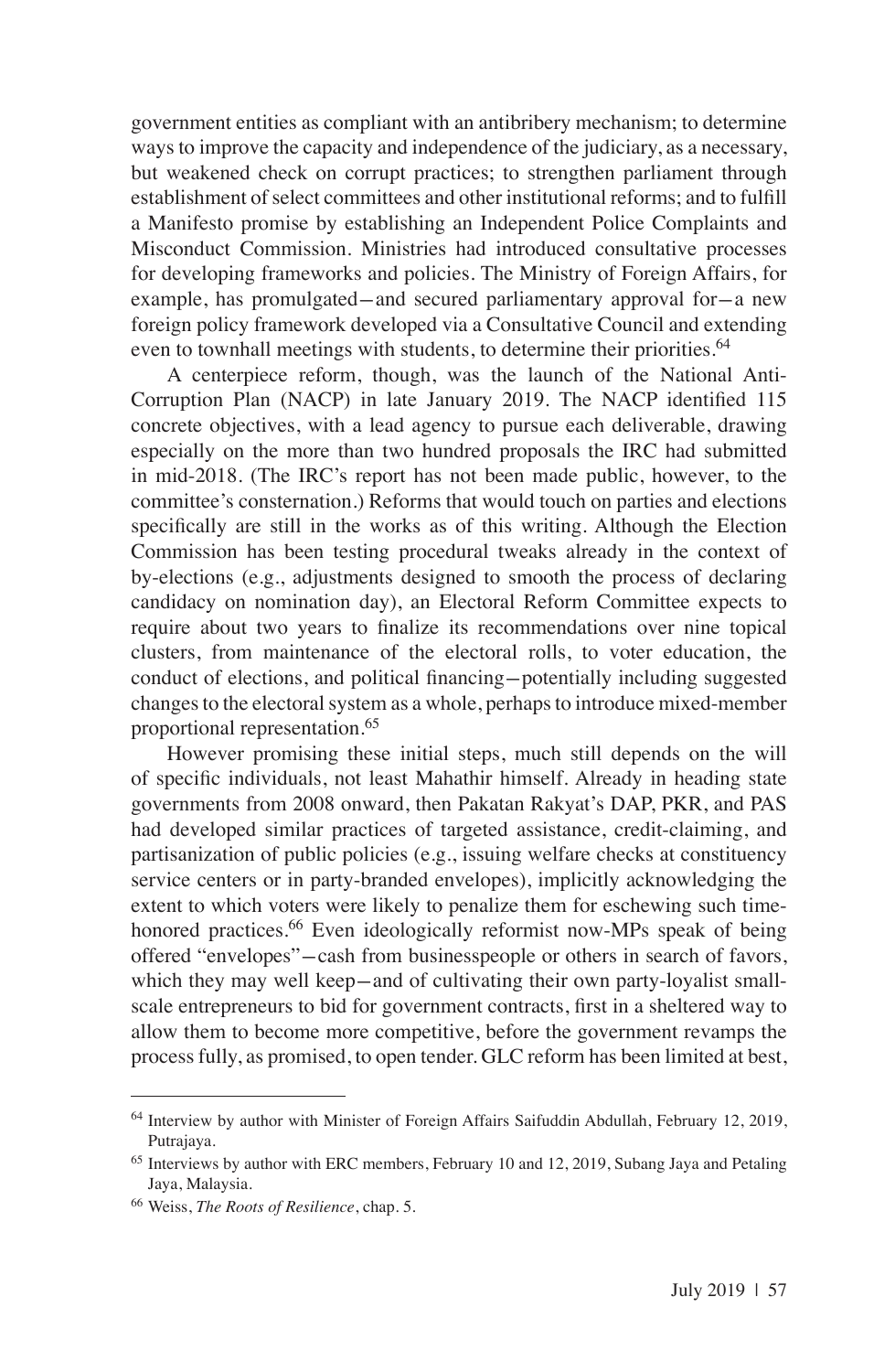government entities as compliant with an antibribery mechanism; to determine ways to improve the capacity and independence of the judiciary, as a necessary, but weakened check on corrupt practices; to strengthen parliament through establishment of select committees and other institutional reforms; and to fulfill a Manifesto promise by establishing an Independent Police Complaints and Misconduct Commission. Ministries had introduced consultative processes for developing frameworks and policies. The Ministry of Foreign Affairs, for example, has promulgated—and secured parliamentary approval for-a new foreign policy framework developed via a Consultative Council and extending even to townhall meetings with students, to determine their priorities.<sup>64</sup>

A centerpiece reform, though, was the launch of the National Anti-Corruption Plan (NACP) in late January 2019. The NACP identified 115 concrete objectives, with a lead agency to pursue each deliverable, drawing especially on the more than two hundred proposals the IRC had submitted in mid-2018. (The IRC's report has not been made public, however, to the committee's consternation.) Reforms that would touch on parties and elections specifically are still in the works as of this writing. Although the Election Commission has been testing procedural tweaks already in the context of by-elections (e.g., adjustments designed to smooth the process of declaring candidacy on nomination day), an Electoral Reform Committee expects to require about two years to finalize its recommendations over nine topical clusters, from maintenance of the electoral rolls, to voter education, the conduct of elections, and political financing-potentially including suggested changes to the electoral system as a whole, perhaps to introduce mixed-member proportional representation.65

However promising these initial steps, much still depends on the will of specific individuals, not least Mahathir himself. Already in heading state governments from 2008 onward, then Pakatan Rakyat's DAP, PKR, and PAS had developed similar practices of targeted assistance, credit-claiming, and partisanization of public policies (e.g., issuing welfare checks at constituency service centers or in party-branded envelopes), implicitly acknowledging the extent to which voters were likely to penalize them for eschewing such timehonored practices.<sup>66</sup> Even ideologically reformist now-MPs speak of being offered "envelopes"-cash from businesspeople or others in search of favors, which they may well keep—and of cultivating their own party-loyalist smallscale entrepreneurs to bid for government contracts, first in a sheltered way to allow them to become more competitive, before the government revamps the process fully, as promised, to open tender. GLC reform has been limited at best,

<sup>64</sup> Interview by author with Minister of Foreign Affairs Saifuddin Abdullah, February 12, 2019, Putrajaya.

<sup>&</sup>lt;sup>65</sup> Interviews by author with ERC members, February 10 and 12, 2019, Subang Jaya and Petaling Jaya, Malaysia.

<sup>66</sup> Weiss, *The Roots of Resilience*, chap. 5.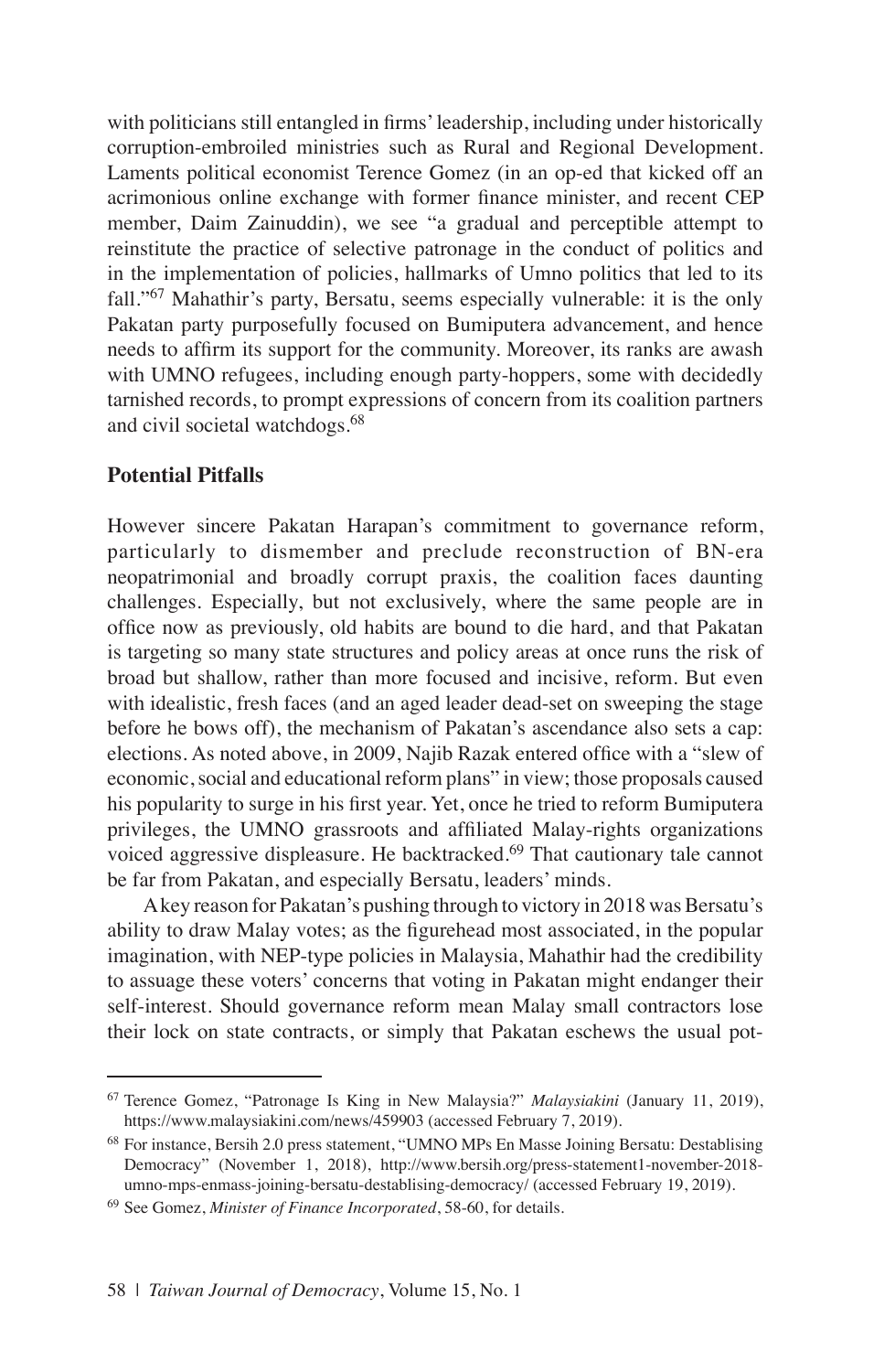with politicians still entangled in firms' leadership, including under historically corruption-embroiled ministries such as Rural and Regional Development. Laments political economist Terence Gomez (in an op-ed that kicked off an acrimonious online exchange with former finance minister, and recent CEP member, Daim Zainuddin), we see "a gradual and perceptible attempt to reinstitute the practice of selective patronage in the conduct of politics and in the implementation of policies, hallmarks of Umno politics that led to its fall."67 Mahathir's party, Bersatu, seems especially vulnerable: it is the only Pakatan party purposefully focused on Bumiputera advancement, and hence needs to affirm its support for the community. Moreover, its ranks are awash with UMNO refugees, including enough party-hoppers, some with decidedly tarnished records, to prompt expressions of concern from its coalition partners and civil societal watchdogs.<sup>68</sup>

## **Potential Pitfalls**

However sincere Pakatan Harapan's commitment to governance reform, particularly to dismember and preclude reconstruction of BN-era neopatrimonial and broadly corrupt praxis, the coalition faces daunting challenges. Especially, but not exclusively, where the same people are in office now as previously, old habits are bound to die hard, and that Pakatan is targeting so many state structures and policy areas at once runs the risk of broad but shallow, rather than more focused and incisive, reform. But even with idealistic, fresh faces (and an aged leader dead-set on sweeping the stage before he bows off), the mechanism of Pakatan's ascendance also sets a cap: elections. As noted above, in 2009, Najib Razak entered office with a "slew of economic, social and educational reform plans" in view; those proposals caused his popularity to surge in his first year. Yet, once he tried to reform Bumiputera privileges, the UMNO grassroots and affiliated Malay-rights organizations voiced aggressive displeasure. He backtracked.<sup>69</sup> That cautionary tale cannot be far from Pakatan, and especially Bersatu, leaders' minds.

A key reason for Pakatan's pushing through to victory in 2018 was Bersatu's ability to draw Malay votes; as the figurehead most associated, in the popular imagination, with NEP-type policies in Malaysia, Mahathir had the credibility to assuage these voters' concerns that voting in Pakatan might endanger their self-interest. Should governance reform mean Malay small contractors lose their lock on state contracts, or simply that Pakatan eschews the usual pot-

<sup>67</sup> Terence Gomez, "Patronage Is King in New Malaysia?" *Malaysiakini* (January 11, 2019), https://www.malaysiakini.com/news/459903 (accessed February 7, 2019).

<sup>68</sup> For instance, Bersih 2.0 press statement, "UMNO MPs En Masse Joining Bersatu: Destablising Democracy" (November 1, 2018), http://www.bersih.org/press-statement1-november-2018 umno-mps-enmass-joining-bersatu-destablising-democracy/ (accessed February 19, 2019).

<sup>69</sup> See Gomez, *Minister of Finance Incorporated*, 58-60, for details.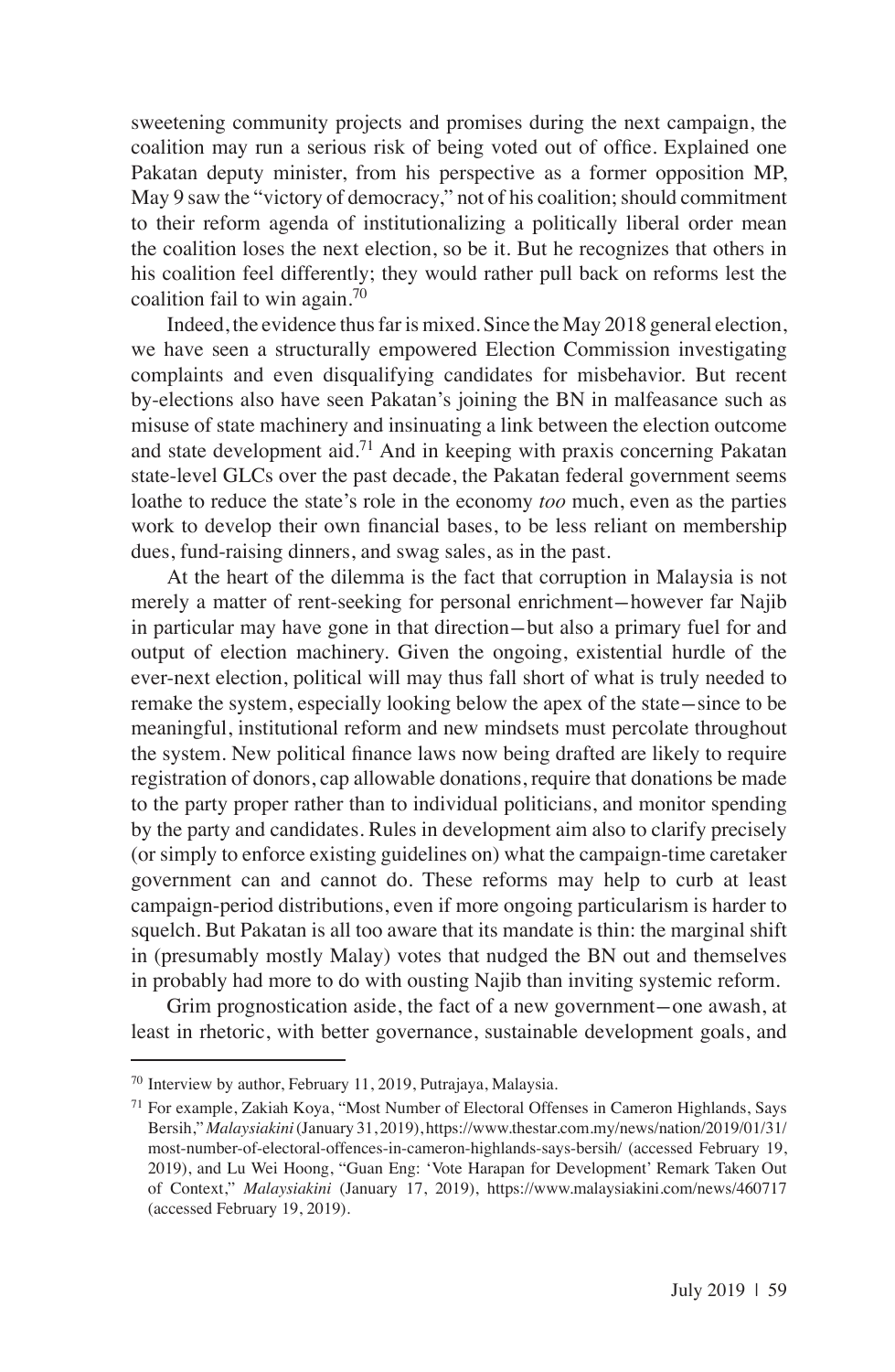sweetening community projects and promises during the next campaign, the coalition may run a serious risk of being voted out of office. Explained one Pakatan deputy minister, from his perspective as a former opposition MP, May 9 saw the "victory of democracy," not of his coalition; should commitment to their reform agenda of institutionalizing a politically liberal order mean the coalition loses the next election, so be it. But he recognizes that others in his coalition feel differently; they would rather pull back on reforms lest the coalition fail to win again.<sup>70</sup>

Indeed, the evidence thus far is mixed. Since the May 2018 general election, we have seen a structurally empowered Election Commission investigating complaints and even disqualifying candidates for misbehavior. But recent by-elections also have seen Pakatan's joining the BN in malfeasance such as misuse of state machinery and insinuating a link between the election outcome and state development aid.<sup>71</sup> And in keeping with praxis concerning Pakatan state-level GLCs over the past decade, the Pakatan federal government seems loathe to reduce the state's role in the economy *too* much, even as the parties work to develop their own financial bases, to be less reliant on membership dues, fund-raising dinners, and swag sales, as in the past.

At the heart of the dilemma is the fact that corruption in Malaysia is not merely a matter of rent-seeking for personal enrichment-however far Najib in particular may have gone in that direction-but also a primary fuel for and output of election machinery. Given the ongoing, existential hurdle of the ever-next election, political will may thus fall short of what is truly needed to remake the system, especially looking below the apex of the state-since to be meaningful, institutional reform and new mindsets must percolate throughout the system. New political finance laws now being drafted are likely to require registration of donors, cap allowable donations, require that donations be made to the party proper rather than to individual politicians, and monitor spending by the party and candidates. Rules in development aim also to clarify precisely (or simply to enforce existing guidelines on) what the campaign-time caretaker government can and cannot do. These reforms may help to curb at least campaign-period distributions, even if more ongoing particularism is harder to squelch. But Pakatan is all too aware that its mandate is thin: the marginal shift in (presumably mostly Malay) votes that nudged the BN out and themselves in probably had more to do with ousting Najib than inviting systemic reform.

Grim prognostication aside, the fact of a new government-one awash, at least in rhetoric, with better governance, sustainable development goals, and

<sup>70</sup> Interview by author, February 11, 2019, Putrajaya, Malaysia.

<sup>71</sup> For example, Zakiah Koya, "Most Number of Electoral Offenses in Cameron Highlands, Says Bersih," *Malaysiakini* (January 31, 2019), https://www.thestar.com.my/news/nation/2019/01/31/ most-number-of-electoral-offences-in-cameron-highlands-says-bersih/ (accessed February 19, 2019), and Lu Wei Hoong, "Guan Eng: 'Vote Harapan for Development' Remark Taken Out of Context," *Malaysiakini* (January 17, 2019), https://www.malaysiakini.com/news/460717 (accessed February 19, 2019).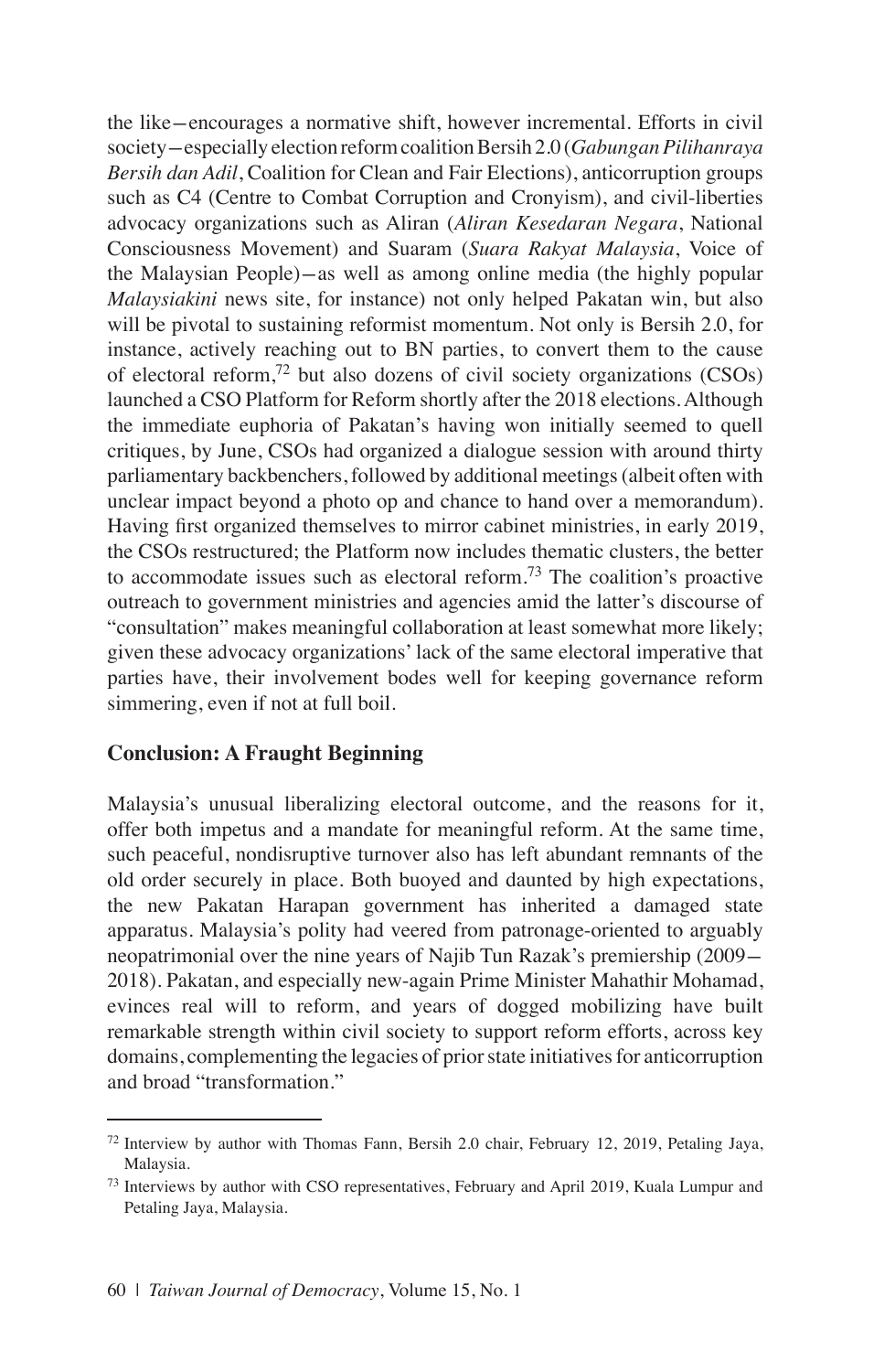the like-encourages a normative shift, however incremental. Efforts in civil society-especially election reform coalition Bersih 2.0 (*Gabungan Pilihanraya Bersih dan Adil*, Coalition for Clean and Fair Elections), anticorruption groups such as C4 (Centre to Combat Corruption and Cronyism), and civil-liberties advocacy organizations such as Aliran (*Aliran Kesedaran Negara*, National Consciousness Movement) and Suaram (*Suara Rakyat Malaysia*, Voice of the Malaysian People)-as well as among online media (the highly popular *Malaysiakini* news site, for instance) not only helped Pakatan win, but also will be pivotal to sustaining reformist momentum. Not only is Bersih 2.0, for instance, actively reaching out to BN parties, to convert them to the cause of electoral reform,<sup>72</sup> but also dozens of civil society organizations (CSOs) launched a CSO Platform for Reform shortly after the 2018 elections. Although the immediate euphoria of Pakatan's having won initially seemed to quell critiques, by June, CSOs had organized a dialogue session with around thirty parliamentary backbenchers, followed by additional meetings (albeit often with unclear impact beyond a photo op and chance to hand over a memorandum). Having first organized themselves to mirror cabinet ministries, in early 2019, the CSOs restructured; the Platform now includes thematic clusters, the better to accommodate issues such as electoral reform.<sup>73</sup> The coalition's proactive outreach to government ministries and agencies amid the latter's discourse of "consultation" makes meaningful collaboration at least somewhat more likely; given these advocacy organizations' lack of the same electoral imperative that parties have, their involvement bodes well for keeping governance reform simmering, even if not at full boil.

## **Conclusion: A Fraught Beginning**

Malaysia's unusual liberalizing electoral outcome, and the reasons for it, offer both impetus and a mandate for meaningful reform. At the same time, such peaceful, nondisruptive turnover also has left abundant remnants of the old order securely in place. Both buoyed and daunted by high expectations, the new Pakatan Harapan government has inherited a damaged state apparatus. Malaysia's polity had veered from patronage-oriented to arguably neopatrimonial over the nine years of Najib Tun Razak's premiership (2009- 2018). Pakatan, and especially new-again Prime Minister Mahathir Mohamad, evinces real will to reform, and years of dogged mobilizing have built remarkable strength within civil society to support reform efforts, across key domains, complementing the legacies of prior state initiatives for anticorruption and broad "transformation."

<sup>72</sup> Interview by author with Thomas Fann, Bersih 2.0 chair, February 12, 2019, Petaling Jaya, Malaysia.

<sup>&</sup>lt;sup>73</sup> Interviews by author with CSO representatives, February and April 2019, Kuala Lumpur and Petaling Jaya, Malaysia.